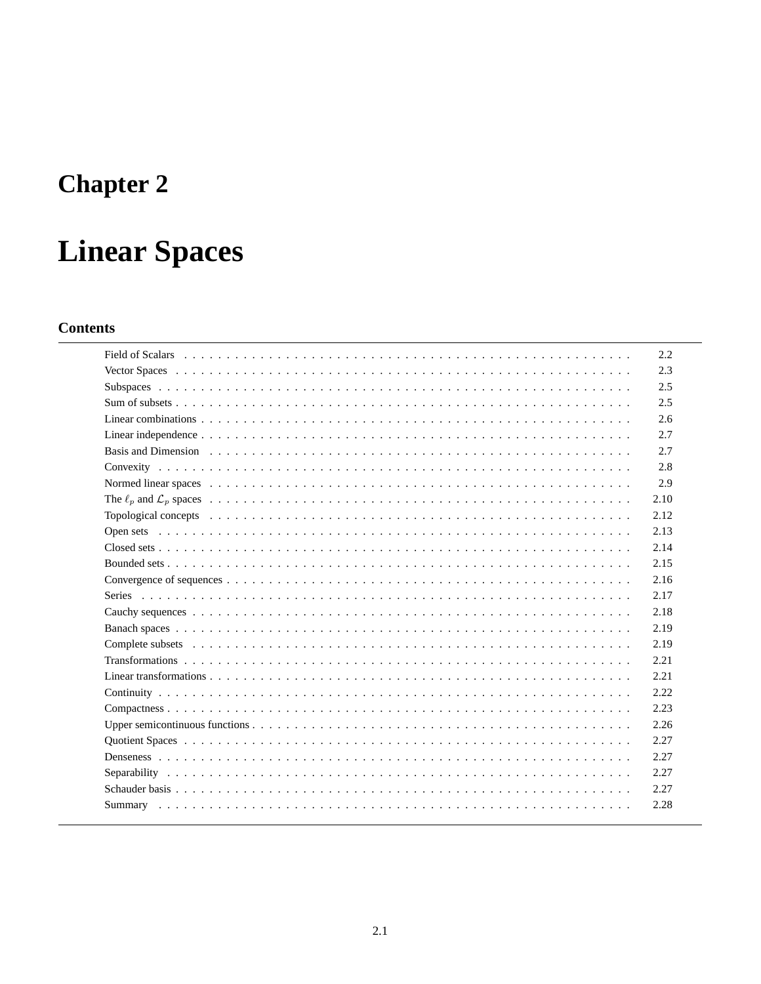# **Chapter 2**

# **Linear Spaces**

# **Contents**

| 2.2  |
|------|
| 2.3  |
| 2.5  |
| 2.5  |
| 2.6  |
| 2.7  |
| 2.7  |
| 2.8  |
| 2.9  |
| 2.10 |
| 2.12 |
| 2.13 |
| 2.14 |
| 2.15 |
| 2.16 |
| 2.17 |
| 2.18 |
| 2.19 |
| 2.19 |
| 2.21 |
| 2.21 |
| 2.22 |
| 2.23 |
| 2.26 |
| 2.27 |
| 2.27 |
| 2.27 |
| 2.27 |
| 2.28 |
|      |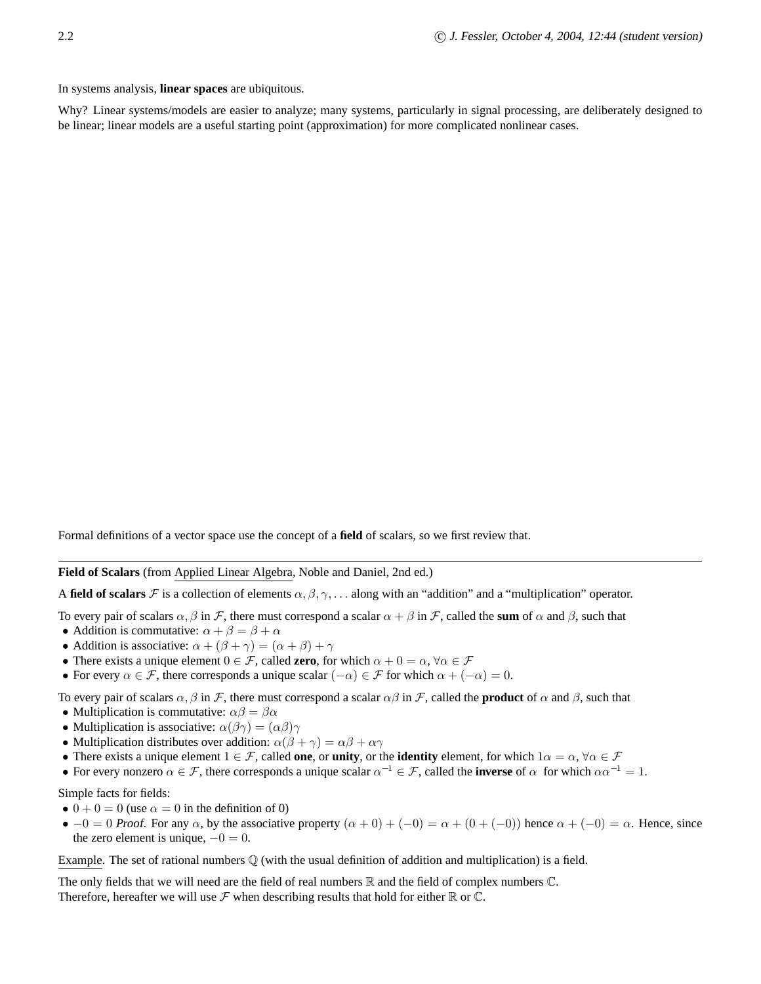In systems analysis, **linear spaces** are ubiquitous.

Why? Linear systems/models are easier to analyze; many systems, particularly in signal processing, are deliberately designed to be linear; linear models are a useful starting point (approximation) for more complicated nonlinear cases.

Formal definitions of a vector space use the concept of a **field** of scalars, so we first review that.

**Field of Scalars** (from Applied Linear Algebra, Noble and Daniel, 2nd ed.)

A **field of scalars** F is a collection of elements  $\alpha, \beta, \gamma, \ldots$  along with an "addition" and a "multiplication" operator.

To every pair of scalars  $\alpha$ ,  $\beta$  in F, there must correspond a scalar  $\alpha + \beta$  in F, called the **sum** of  $\alpha$  and  $\beta$ , such that

- Addition is commutative:  $\alpha + \beta = \beta + \alpha$
- Addition is associative:  $\alpha + (\beta + \gamma) = (\alpha + \beta) + \gamma$
- There exists a unique element  $0 \in \mathcal{F}$ , called **zero**, for which  $\alpha + 0 = \alpha$ ,  $\forall \alpha \in \mathcal{F}$
- For every  $\alpha \in \mathcal{F}$ , there corresponds a unique scalar  $(-\alpha) \in \mathcal{F}$  for which  $\alpha + (-\alpha) = 0$ .

To every pair of scalars  $\alpha$ ,  $\beta$  in F, there must correspond a scalar  $\alpha\beta$  in F, called the **product** of  $\alpha$  and  $\beta$ , such that

- Multiplication is commutative:  $\alpha\beta = \beta\alpha$
- Multiplication is associative:  $\alpha(\beta\gamma) = (\alpha\beta)\gamma$
- Multiplication distributes over addition:  $\alpha(\beta + \gamma) = \alpha\beta + \alpha\gamma$
- There exists a unique element  $1 \in \mathcal{F}$ , called **one**, or **unity**, or the **identity** element, for which  $1\alpha = \alpha$ ,  $\forall \alpha \in \mathcal{F}$
- For every nonzero  $\alpha \in \mathcal{F}$ , there corresponds a unique scalar  $\alpha^{-1} \in \mathcal{F}$ , called the **inverse** of  $\alpha$  for which  $\alpha \alpha^{-1} = 1$ .

Simple facts for fields:

- $0 + 0 = 0$  (use  $\alpha = 0$  in the definition of 0)
- $-0 = 0$  Proof. For any  $\alpha$ , by the associative property  $(\alpha + 0) + (-0) = \alpha + (0 + (-0))$  hence  $\alpha + (-0) = \alpha$ . Hence, since the zero element is unique,  $-0 = 0$ .

Example. The set of rational numbers  $\mathbb Q$  (with the usual definition of addition and multiplication) is a field.

The only fields that we will need are the field of real numbers  $\mathbb R$  and the field of complex numbers  $\mathbb C$ . Therefore, hereafter we will use  $\mathcal F$  when describing results that hold for either  $\mathbb R$  or  $\mathbb C$ .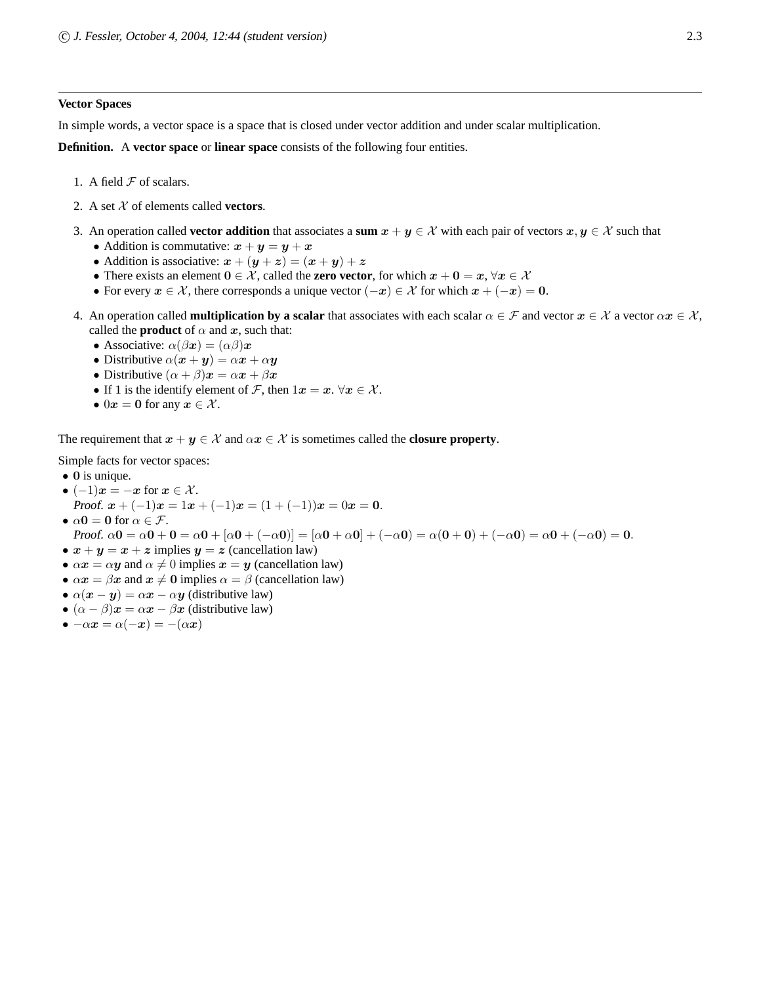# **Vector Spaces**

In simple words, a vector space is a space that is closed under vector addition and under scalar multiplication.

**Definition.** A **vector space** or **linear space** consists of the following four entities.

- 1. A field  $F$  of scalars.
- 2. A set  $X$  of elements called **vectors**.
- 3. An operation called **vector addition** that associates a sum  $x + y \in \mathcal{X}$  with each pair of vectors  $x, y \in \mathcal{X}$  such that
	- Addition is commutative:  $x + y = y + x$
	- Addition is associative:  $x + (y + z) = (x + y) + z$
	- There exists an element  $0 \in \mathcal{X}$ , called the **zero vector**, for which  $x + 0 = x, \forall x \in \mathcal{X}$
	- For every  $x \in \mathcal{X}$ , there corresponds a unique vector  $(-x) \in \mathcal{X}$  for which  $x + (-x) = 0$ .
- 4. An operation called **multiplication by a scalar** that associates with each scalar  $\alpha \in \mathcal{F}$  and vector  $x \in \mathcal{X}$  a vector  $\alpha x \in \mathcal{X}$ , called the **product** of  $\alpha$  and  $x$ , such that:
	- Associative:  $\alpha(\beta x) = (\alpha \beta)x$
	- Distributive  $\alpha(x + y) = \alpha x + \alpha y$
	- Distributive  $(\alpha + \beta)\mathbf{x} = \alpha \mathbf{x} + \beta \mathbf{x}$
	- If 1 is the identify element of F, then  $1x = x$ .  $\forall x \in \mathcal{X}$ .
	- 0 $x = 0$  for any  $x \in \mathcal{X}$ .

The requirement that  $x + y \in \mathcal{X}$  and  $\alpha x \in \mathcal{X}$  is sometimes called the **closure property**.

Simple facts for vector spaces:

- 0 is unique.
- $(-1)x = -x$  for  $x \in \mathcal{X}$ . Proof.  $x + (-1)x = 1x + (-1)x = (1 + (-1))x = 0x = 0.$ •  $\alpha$ **0** = **0** for  $\alpha \in \mathcal{F}$ .

Proof.  $\alpha \mathbf{0} = \alpha \mathbf{0} + \mathbf{0} = \alpha \mathbf{0} + [\alpha \mathbf{0} + (-\alpha \mathbf{0})] = [\alpha \mathbf{0} + \alpha \mathbf{0}] + (-\alpha \mathbf{0}) = \alpha(\mathbf{0} + \mathbf{0}) + (-\alpha \mathbf{0}) = \alpha \mathbf{0} + (-\alpha \mathbf{0}) = \mathbf{0}$ .

- $x + y = x + z$  implies  $y = z$  (cancellation law)
- $\alpha x = \alpha y$  and  $\alpha \neq 0$  implies  $x = y$  (cancellation law)
- $\alpha x = \beta x$  and  $x \neq 0$  implies  $\alpha = \beta$  (cancellation law)
- $\alpha(x y) = \alpha x \alpha y$  (distributive law)
- $(\alpha \beta)x = \alpha x \beta x$  (distributive law)
- $\bullet -\alpha x = \alpha(-x) = -(\alpha x)$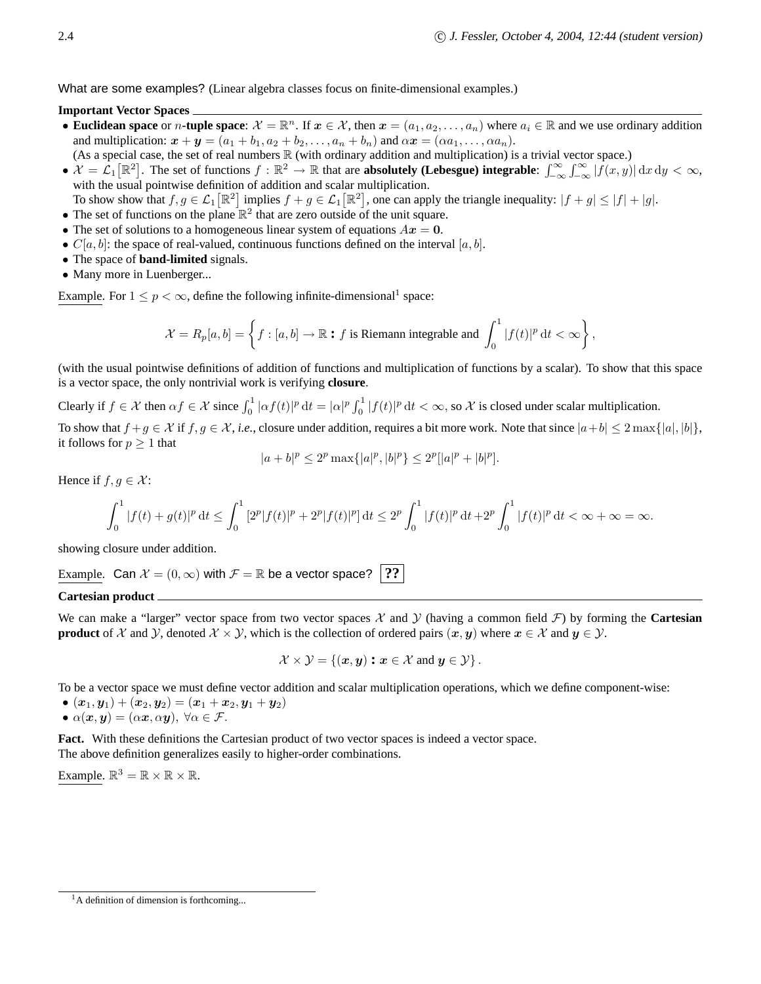What are some examples? (Linear algebra classes focus on finite-dimensional examples.)

# **Important Vector Spaces**

- **Euclidean space** or *n*-tuple space:  $\mathcal{X} = \mathbb{R}^n$ . If  $x \in \mathcal{X}$ , then  $x = (a_1, a_2, \dots, a_n)$  where  $a_i \in \mathbb{R}$  and we use ordinary addition and multiplication:  $\mathbf{x} + \mathbf{y} = (a_1 + b_1, a_2 + b_2, \dots, a_n + b_n)$  and  $\alpha \mathbf{x} = (\alpha a_1, \dots, \alpha a_n)$ .
- (As a special case, the set of real numbers  $\mathbb R$  (with ordinary addition and multiplication) is a trivial vector space.)
- $\mathcal{X} = \mathcal{L}_1[\mathbb{R}^2]$ . The set of functions  $f : \mathbb{R}^2 \to \mathbb{R}$  that are **absolutely (Lebesgue) integrable**:  $\int_{-\infty}^{\infty} \int_{-\infty}^{\infty} |f(x, y)| dx dy < \infty$ , with the usual pointwise definition of addition and scalar multiplication.
- To show show that  $f, g \in \mathcal{L}_1[\mathbb{R}^2]$  implies  $f + g \in \mathcal{L}_1[\mathbb{R}^2]$ , one can apply the triangle inequality:  $|f + g| \leq |f| + |g|$ .
- The set of functions on the plane  $\mathbb{R}^2$  that are zero outside of the unit square.
- The set of solutions to a homogeneous linear system of equations  $Ax = 0$ .
- $C[a, b]$ : the space of real-valued, continuous functions defined on the interval  $[a, b]$ .
- The space of **band-limited** signals.
- Many more in Luenberger...

Example. For  $1 \le p < \infty$ , define the following infinite-dimensional<sup>1</sup> space:

$$
\mathcal{X}=R_p[a,b]=\left\{f:[a,b]\rightarrow\mathbb{R}\text{ : $f$ is Riemann integrable and }\int_0^1|f(t)|^p\,\mathrm{d} t<\infty\right\},
$$

(with the usual pointwise definitions of addition of functions and multiplication of functions by a scalar). To show that this space is a vector space, the only nontrivial work is verifying **closure**.

Clearly if  $f \in \mathcal{X}$  then  $\alpha f \in \mathcal{X}$  since  $\int_0^1 |\alpha f(t)|^p dt = |\alpha|^p \int_0^1 |f(t)|^p dt < \infty$ , so  $\mathcal{X}$  is closed under scalar multiplication.

To show that  $f + g \in \mathcal{X}$  if  $f, g \in \mathcal{X}$ , *i.e.*, closure under addition, requires a bit more work. Note that since  $|a+b| \leq 2 \max\{|a|, |b|\}$ , it follows for  $p \geq 1$  that

$$
|a+b|^p \le 2^p \max\{|a|^p, |b|^p\} \le 2^p[|a|^p+|b|^p].
$$

Hence if  $f, g \in \mathcal{X}$ :

$$
\int_0^1 |f(t)+g(t)|^p dt \le \int_0^1 |2^p|f(t)|^p + 2^p|f(t)|^p dt \le 2^p \int_0^1 |f(t)|^p dt + 2^p \int_0^1 |f(t)|^p dt < \infty + \infty = \infty.
$$

showing closure under addition.

Example. Can  $\mathcal{X} = (0, \infty)$  with  $\mathcal{F} = \mathbb{R}$  be a vector space? **??** 

# **Cartesian product**

We can make a "larger" vector space from two vector spaces  $\mathcal X$  and  $\mathcal Y$  (having a common field  $\mathcal F$ ) by forming the **Cartesian product** of X and Y, denoted  $X \times Y$ , which is the collection of ordered pairs  $(x, y)$  where  $x \in X$  and  $y \in Y$ .

$$
\mathcal{X}\times\mathcal{Y}=\left\{(\boldsymbol{x},\boldsymbol{y})\boldsymbol{:}\boldsymbol{x}\in\mathcal{X}\text{ and }\boldsymbol{y}\in\mathcal{Y}\right\}.
$$

To be a vector space we must define vector addition and scalar multiplication operations, which we define component-wise:

 $\bullet$   $(\boldsymbol{x}_1,\boldsymbol{y}_1)+(\boldsymbol{x}_2,\boldsymbol{y}_2)=(\boldsymbol{x}_1+\boldsymbol{x}_2,\boldsymbol{y}_1+\boldsymbol{y}_2)$ 

• 
$$
\alpha(x, y) = (\alpha x, \alpha y), \forall \alpha \in \mathcal{F}.
$$

Fact. With these definitions the Cartesian product of two vector spaces is indeed a vector space. The above definition generalizes easily to higher-order combinations.

Example.  $\mathbb{R}^3 = \mathbb{R} \times \mathbb{R} \times \mathbb{R}$ .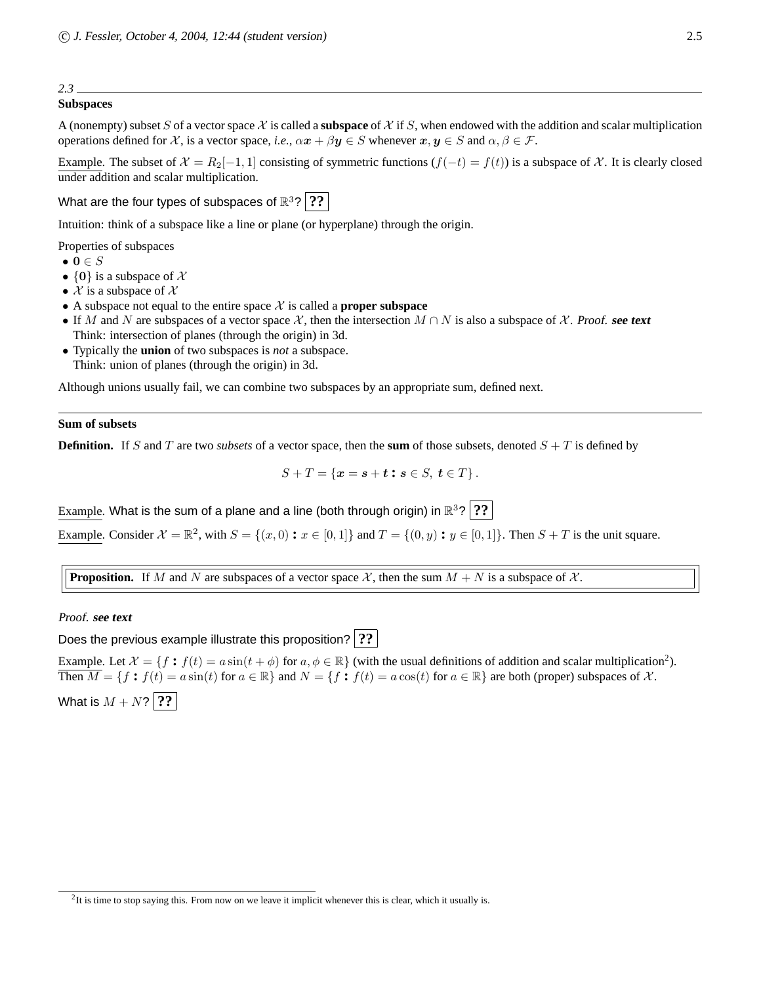# **Subspaces**

A (nonempty) subset S of a vector space  $X$  is called a **subspace** of X if S, when endowed with the addition and scalar multiplication operations defined for X, is a vector space, *i.e.*,  $\alpha x + \beta y \in S$  whenever  $x, y \in S$  and  $\alpha, \beta \in \mathcal{F}$ .

Example. The subset of  $\mathcal{X} = R_2[-1, 1]$  consisting of symmetric functions  $(f(-t) = f(t))$  is a subspace of  $\mathcal{X}$ . It is clearly closed under addition and scalar multiplication.

What are the four types of subspaces of  $\mathbb{R}^3$ ?  $|$   $?$ ?

Intuition: think of a subspace like a line or plane (or hyperplane) through the origin.

Properties of subspaces

- $\bullet \; \mathbf{0} \in S$
- $\{0\}$  is a subspace of X
- $\mathcal X$  is a subspace of  $\mathcal X$
- A subspace not equal to the entire space  $X$  is called a **proper subspace**
- If M and N are subspaces of a vector space X, then the intersection  $M \cap N$  is also a subspace of X. Proof. **see text** Think: intersection of planes (through the origin) in 3d.
- Typically the **union** of two subspaces is *not* a subspace. Think: union of planes (through the origin) in 3d.

Although unions usually fail, we can combine two subspaces by an appropriate sum, defined next.

# **Sum of subsets**

**Definition.** If S and T are two *subsets* of a vector space, then the **sum** of those subsets, denoted  $S + T$  is defined by

$$
S+T=\left\{ \boldsymbol{x}=\boldsymbol{s}+\boldsymbol{t}:\boldsymbol{s}\in S,\ \boldsymbol{t}\in T\right\} .
$$

Example. What is the sum of a plane and a line (both through origin) in  $\mathbb{R}^3?$   $\big|\,?\,\,$ 

Example. Consider  $\mathcal{X} = \mathbb{R}^2$ , with  $S = \{(x, 0) : x \in [0, 1]\}$  and  $T = \{(0, y) : y \in [0, 1]\}$ . Then  $S + T$  is the unit square.

**Proposition.** If M and N are subspaces of a vector space X, then the sum  $M + N$  is a subspace of X.

# Proof. **see text**

Does the previous example illustrate this proposition? **??**

Example. Let  $\mathcal{X} = \{f : f(t) = a \sin(t + \phi) \text{ for } a, \phi \in \mathbb{R} \}$  (with the usual definitions of addition and scalar multiplication<sup>2</sup>). Then  $\overline{M} = \{f : f(t) = a \sin(t) \text{ for } a \in \mathbb{R}\}\$ and  $N = \{f : f(t) = a \cos(t) \text{ for } a \in \mathbb{R}\}\$ are both (proper) subspaces of X. What is  $M + N$ ? ??

 ${}^{2}$ It is time to stop saying this. From now on we leave it implicit whenever this is clear, which it usually is.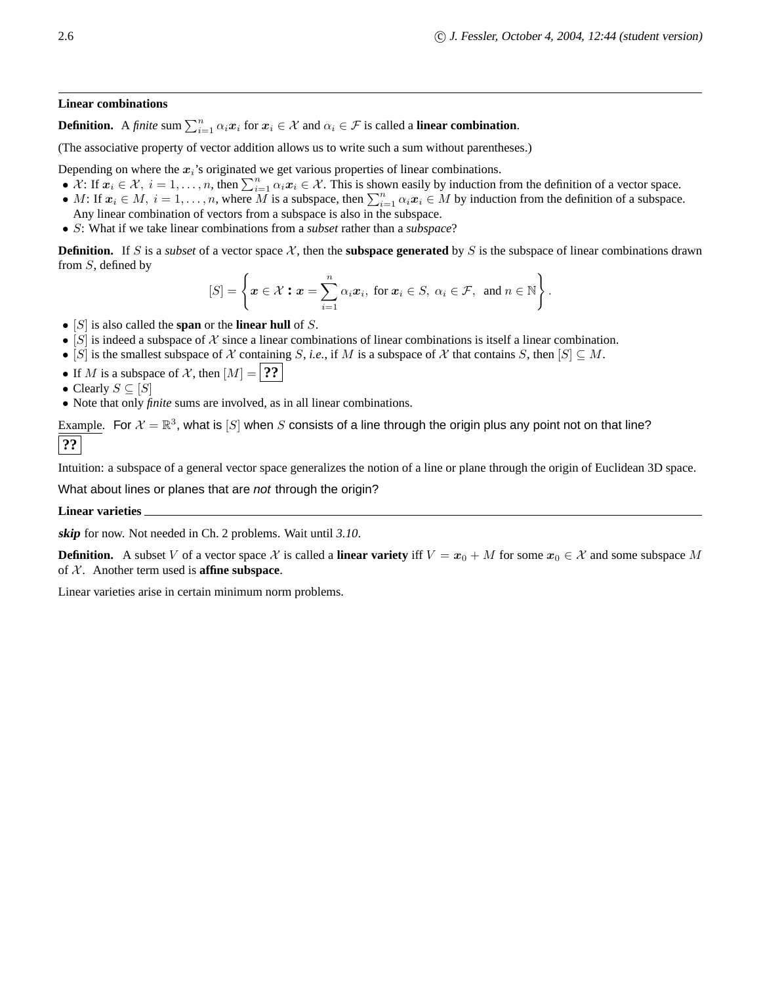# **Linear combinations**

**Definition.** A *finite* sum  $\sum_{i=1}^{n} \alpha_i x_i$  for  $x_i \in \mathcal{X}$  and  $\alpha_i \in \mathcal{F}$  is called a **linear combination**.

(The associative property of vector addition allows us to write such a sum without parentheses.)

Depending on where the  $x_i$ 's originated we get various properties of linear combinations.

- $\bullet$   $\mathcal{X}$ : If  $x_i \in \mathcal{X}$ ,  $i = 1, \ldots, n$ , then  $\sum_{i=1}^n \alpha_i x_i \in \mathcal{X}$ . This is shown easily by induction from the definition of a vector space.
- M: If  $x_i \in M$ ,  $i = 1, ..., n$ , where M is a subspace, then  $\sum_{i=1}^{n} \alpha_i x_i \in M$  by induction from the definition of a subspace. Any linear combination of vectors from a subspace is also in the subspace.
- S: What if we take linear combinations from a *subset* rather than a *subspace*?

**Definition.** If S is a *subset* of a vector space  $\mathcal{X}$ , then the **subspace generated** by S is the subspace of linear combinations drawn from S, defined by

$$
[S] = \left\{ \boldsymbol{x} \in \mathcal{X} : \boldsymbol{x} = \sum_{i=1}^n \alpha_i \boldsymbol{x}_i, \text{ for } \boldsymbol{x}_i \in S, \ \alpha_i \in \mathcal{F}, \text{ and } n \in \mathbb{N} \right\}.
$$

- [S] is also called the **span** or the **linear hull** of S.
- [S] is indeed a subspace of  $X$  since a linear combinations of linear combinations is itself a linear combination.
- [S] is the smallest subspace of X containing S, *i.e.*, if M is a subspace of X that contains S, then  $[S] \subseteq M$ .
- If M is a subspace of X, then  $[M] =$  **??**

• Clearly  $S \subseteq [S]$ 

• Note that only *finite* sums are involved, as in all linear combinations.

Example. For  $\mathcal{X} = \mathbb{R}^3$ , what is  $[S]$  when  $S$  consists of a line through the origin plus any point not on that line? **??**

Intuition: a subspace of a general vector space generalizes the notion of a line or plane through the origin of Euclidean 3D space.

What about lines or planes that are not through the origin?

**Linear varieties**

**skip** for now. Not needed in Ch. 2 problems. Wait until *3.10*.

**Definition.** A subset V of a vector space X is called a **linear variety** iff  $V = x_0 + M$  for some  $x_0 \in \mathcal{X}$  and some subspace M of  $X$ . Another term used is **affine subspace**.

Linear varieties arise in certain minimum norm problems.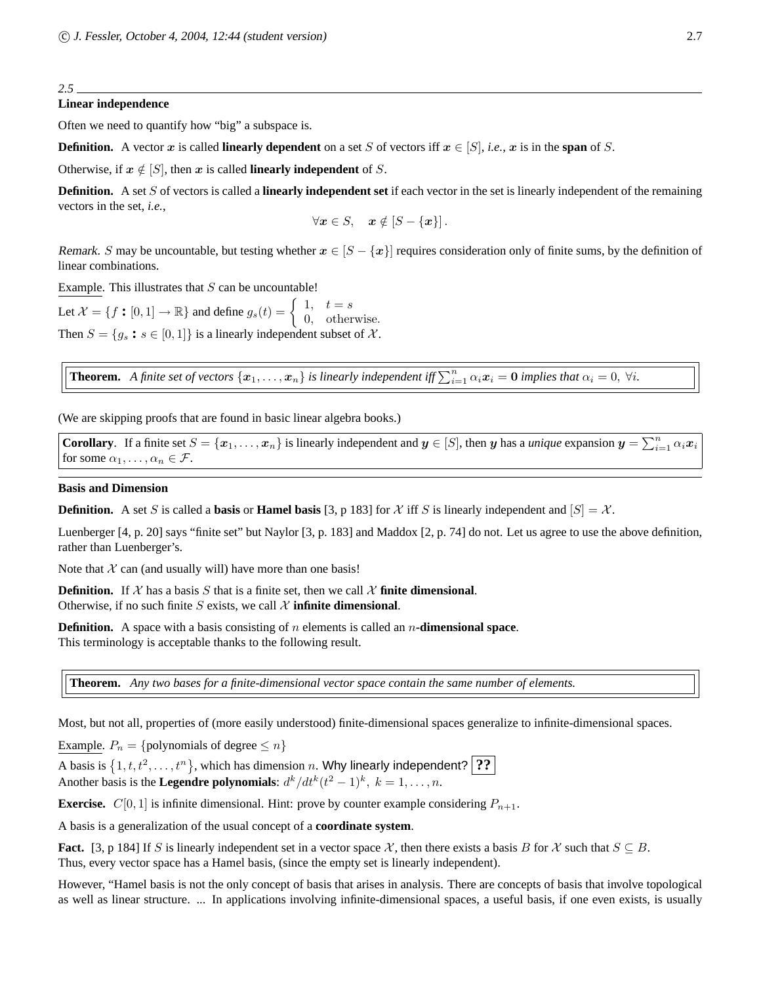# **Linear independence**

Often we need to quantify how "big" a subspace is.

**Definition.** A vector x is called **linearly dependent** on a set S of vectors iff  $x \in [S]$ , *i.e.*, x is in the span of S.

Otherwise, if  $x \notin [S]$ , then x is called **linearly independent** of S.

**Definition.** A set S of vectors is called a **linearly independent set** if each vector in the set is linearly independent of the remaining vectors in the set, *i.e.*,

$$
\forall x \in S, \quad x \notin [S - \{x\}].
$$

Remark. S may be uncountable, but testing whether  $x \in [S - \{x\}]$  requires consideration only of finite sums, by the definition of linear combinations.

Example. This illustrates that  $S$  can be uncountable!

Let  $\mathcal{X} = \{f : [0,1] \to \mathbb{R}\}$  and define  $g_s(t) = \begin{cases} 1, & t = s \\ 0, & \text{other} \end{cases}$ 0, otherwise. Then  $S = \{g_s : s \in [0, 1]\}$  is a linearly independent subset of X.

**Theorem.** A finite set of vectors  $\{x_1, \ldots, x_n\}$  is linearly independent iff  $\sum_{i=1}^n \alpha_i x_i = 0$  implies that  $\alpha_i = 0$ ,  $\forall i$ .

(We are skipping proofs that are found in basic linear algebra books.)

**Corollary**. If a finite set  $S = \{x_1, \ldots, x_n\}$  is linearly independent and  $y \in [S]$ , then y has a *unique* expansion  $y = \sum_{i=1}^n \alpha_i x_i$ for some  $\alpha_1, \ldots, \alpha_n \in \mathcal{F}$ .

# **Basis and Dimension**

**Definition.** A set S is called a **basis** or **Hamel basis** [3, p 183] for X iff S is linearly independent and  $|S| = X$ .

Luenberger [4, p. 20] says "finite set" but Naylor [3, p. 183] and Maddox [2, p. 74] do not. Let us agree to use the above definition, rather than Luenberger's.

Note that  $X$  can (and usually will) have more than one basis!

**Definition.** If X has a basis S that is a finite set, then we call X **finite dimensional**. Otherwise, if no such finite S exists, we call  $X$  **infinite dimensional**.

**Definition.** A space with a basis consisting of n elements is called an n-dimensional space. This terminology is acceptable thanks to the following result.

**Theorem.** *Any two bases for a finite-dimensional vector space contain the same number of elements.*

Most, but not all, properties of (more easily understood) finite-dimensional spaces generalize to infinite-dimensional spaces.

Example.  $P_n = \{$ polynomials of degree  $\leq n\}$ 

A basis is  $\{1, t, t^2, \ldots, t^n\}$ , which has dimension n. Why linearly independent? **??** 

Another basis is the **Legendre polynomials**:  $d^k/dt^k(t^2 - 1)^k$ ,  $k = 1, ..., n$ .

**Exercise.**  $C[0, 1]$  is infinite dimensional. Hint: prove by counter example considering  $P_{n+1}$ .

A basis is a generalization of the usual concept of a **coordinate system**.

**Fact.** [3, p 184] If S is linearly independent set in a vector space X, then there exists a basis B for X such that  $S \subseteq B$ . Thus, every vector space has a Hamel basis, (since the empty set is linearly independent).

However, "Hamel basis is not the only concept of basis that arises in analysis. There are concepts of basis that involve topological as well as linear structure. ... In applications involving infinite-dimensional spaces, a useful basis, if one even exists, is usually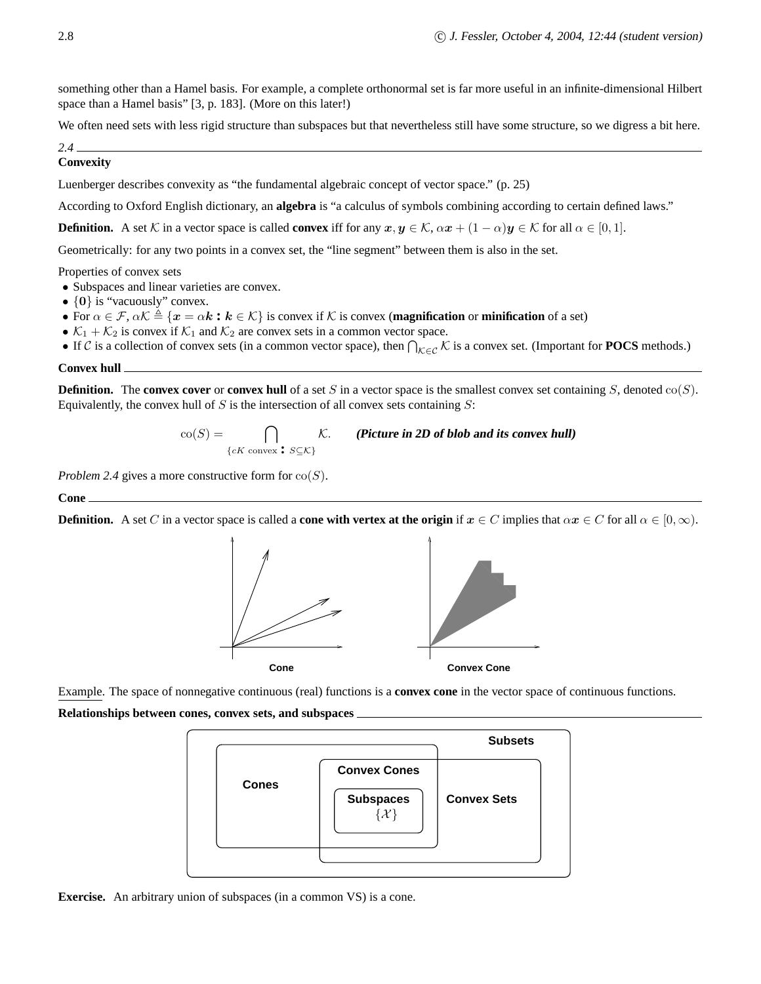something other than a Hamel basis. For example, a complete orthonormal set is far more useful in an infinite-dimensional Hilbert space than a Hamel basis" [3, p. 183]. (More on this later!)

We often need sets with less rigid structure than subspaces but that nevertheless still have some structure, so we digress a bit here.

# *2.4*

**Convexity**

Luenberger describes convexity as "the fundamental algebraic concept of vector space." (p. 25)

According to Oxford English dictionary, an **algebra** is "a calculus of symbols combining according to certain defined laws."

**Definition.** A set K in a vector space is called **convex** iff for any  $x, y \in K$ ,  $\alpha x + (1 - \alpha)y \in K$  for all  $\alpha \in [0, 1]$ .

Geometrically: for any two points in a convex set, the "line segment" between them is also in the set.

Properties of convex sets

- Subspaces and linear varieties are convex.
- $\{0\}$  is "vacuously" convex.
- For  $\alpha \in \mathcal{F}$ ,  $\alpha \mathcal{K} \triangleq \{x = \alpha \mathbf{k} : \mathbf{k} \in \mathcal{K}\}\$ is convex if  $\mathcal{K}$  is convex (**magnification** or **minification** of a set)
- $\mathcal{K}_1 + \mathcal{K}_2$  is convex if  $\mathcal{K}_1$  and  $\mathcal{K}_2$  are convex sets in a common vector space.
- If C is a collection of convex sets (in a common vector space), then  $\bigcap_{K \in \mathcal{C}} K$  is a convex set. (Important for **POCS** methods.)

# **Convex hull**

**Definition.** The **convex cover** or **convex hull** of a set S in a vector space is the smallest convex set containing S, denoted  $co(S)$ . Equivalently, the convex hull of  $S$  is the intersection of all convex sets containing  $S$ :

> $\operatorname{co}(S) = \bigcap$  ${cK}$  convex **:**  $S \subseteq K$ } K. **(Picture in 2D of blob and its convex hull)**

*Problem 2.4* gives a more constructive form for  $co(S)$ .

# **Cone**

**Definition.** A set C in a vector space is called a **cone with vertex at the origin** if  $x \in C$  implies that  $\alpha x \in C$  for all  $\alpha \in [0, \infty)$ .



Example. The space of nonnegative continuous (real) functions is a **convex cone** in the vector space of continuous functions.

**Relationships between cones, convex sets, and subspaces**



**Exercise.** An arbitrary union of subspaces (in a common VS) is a cone.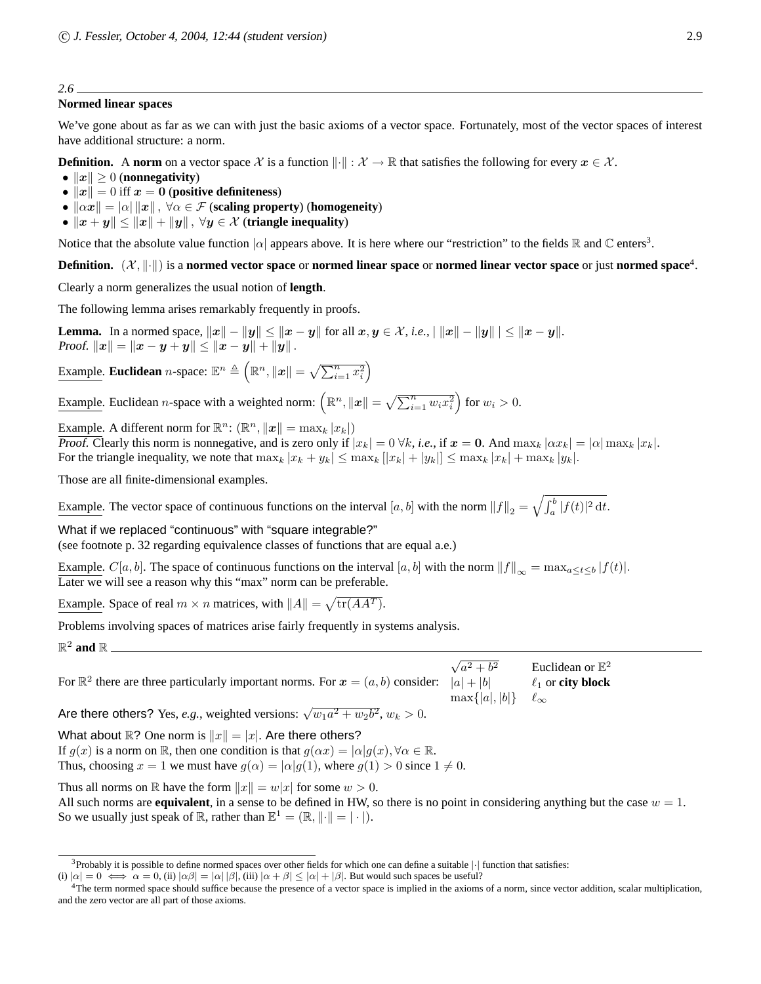# **Normed linear spaces**

We've gone about as far as we can with just the basic axioms of a vector space. Fortunately, most of the vector spaces of interest have additional structure: a norm.

**Definition.** A **norm** on a vector space X is a function  $\|\cdot\|$  :  $\mathcal{X} \to \mathbb{R}$  that satisfies the following for every  $x \in \mathcal{X}$ .

- $||x|| \geq 0$  (**nonnegativity**)
- $||x|| = 0$  iff  $x = 0$  (**positive definiteness**)
- $\|\alpha x\| = |\alpha| \|x\|$ ,  $\forall \alpha \in \mathcal{F}$  (scaling property) (homogeneity)
- $||x + y|| \le ||x|| + ||y||$ ,  $\forall y \in \mathcal{X}$  (triangle inequality)

Notice that the absolute value function  $|\alpha|$  appears above. It is here where our "restriction" to the fields  $\mathbb R$  and  $\mathbb C$  enters<sup>3</sup>.

**Definition.**  $(\mathcal{X}, \|\cdot\|)$  is a **normed vector space** or **normed linear space** or **normed linear vector space** or just **normed space**<sup>4</sup>.

Clearly a norm generalizes the usual notion of **length**.

The following lemma arises remarkably frequently in proofs.

**Lemma.** In a normed space,  $||x|| - ||y|| \le ||x - y||$  for all  $x, y \in \mathcal{X}$ , *i.e.*,  $||x|| - ||y|| | \le ||x - y||$ . Proof.  $||x|| = ||x - y + y|| \le ||x - y|| + ||y||$ .

Example. **Euclidean** *n*-space:  $\mathbb{E}^n \triangleq (\mathbb{R}^n, ||x|| = \sqrt{\sum_{i=1}^n x_i^2})$ 

Example. Euclidean *n*-space with a weighted norm:  $(\mathbb{R}^n, ||x|| = \sqrt{\sum_{i=1}^n w_i x_i^2})$  for  $w_i > 0$ .

Example. A different norm for  $\mathbb{R}^n$ :  $(\mathbb{R}^n, ||\boldsymbol{x}|| = \max_k |x_k|)$ 

Proof. Clearly this norm is nonnegative, and is zero only if  $|x_k| = 0 \forall k$ , *i.e.*, if  $x = 0$ . And  $\max_k |\alpha x_k| = |\alpha| \max_k |x_k|$ . For the triangle inequality, we note that  $\max_k |x_k + y_k| \leq \max_k |x_k| + |y_k|| \leq \max_k |x_k| + \max_k |y_k|$ .

Those are all finite-dimensional examples.

Example. The vector space of continuous functions on the interval  $[a, b]$  with the norm  $||f||_2 = \sqrt{\int_a^b |f(t)|^2 dt}$ .

What if we replaced "continuous" with "square integrable?"

(see footnote p. 32 regarding equivalence classes of functions that are equal a.e.)

Example.  $C[a, b]$ . The space of continuous functions on the interval  $[a, b]$  with the norm  $||f||_{\infty} = \max_{a \le t \le b} |f(t)|$ . Later we will see a reason why this "max" norm can be preferable.

Example. Space of real  $m \times n$  matrices, with  $||A|| = \sqrt{\text{tr}(AA^T)}$ .

Problems involving spaces of matrices arise fairly frequently in systems analysis.

 $\mathbb{R}^2$  and  $\mathbb{R}$ 

For  $\mathbb{R}^2$  there are three particularly important norms. For  $x = (a, b)$  consider:  $\sqrt{a^2 + b^2}$  Euclidean or  $\mathbb{E}^2$  $|a| + |b|$   $\ell_1$  or **city block**  $\max\{|a|, |b|\}$   $\ell_{\infty}$ 

Are there others? Yes, *e.g.*, weighted versions:  $\sqrt{w_1 a^2 + w_2 b^2}$ ,  $w_k > 0$ .

What about  $\mathbb{R}$ ? One norm is  $||x|| = |x|$ . Are there others?

If  $g(x)$  is a norm on R, then one condition is that  $g(\alpha x) = |\alpha| g(x), \forall \alpha \in \mathbb{R}$ . Thus, choosing  $x = 1$  we must have  $g(\alpha) = |\alpha| g(1)$ , where  $g(1) > 0$  since  $1 \neq 0$ .

Thus all norms on R have the form  $||x|| = w|x|$  for some  $w > 0$ .

All such norms are **equivalent**, in a sense to be defined in HW, so there is no point in considering anything but the case  $w = 1$ . So we usually just speak of  $\mathbb{R}$ , rather than  $\mathbb{E}^1 = (\mathbb{R}, ||\cdot|| = |\cdot|)$ .

 $3$ Probably it is possible to define normed spaces over other fields for which one can define a suitable  $|\cdot|$  function that satisfies:

<sup>(</sup>i)  $|\alpha| = 0 \iff \alpha = 0$ , (ii)  $|\alpha\beta| = |\alpha| |\beta|$ , (iii)  $|\alpha + \beta| \leq |\alpha| + |\beta|$ . But would such spaces be useful?

<sup>4</sup>The term normed space should suffice because the presence of a vector space is implied in the axioms of a norm, since vector addition, scalar multiplication, and the zero vector are all part of those axioms.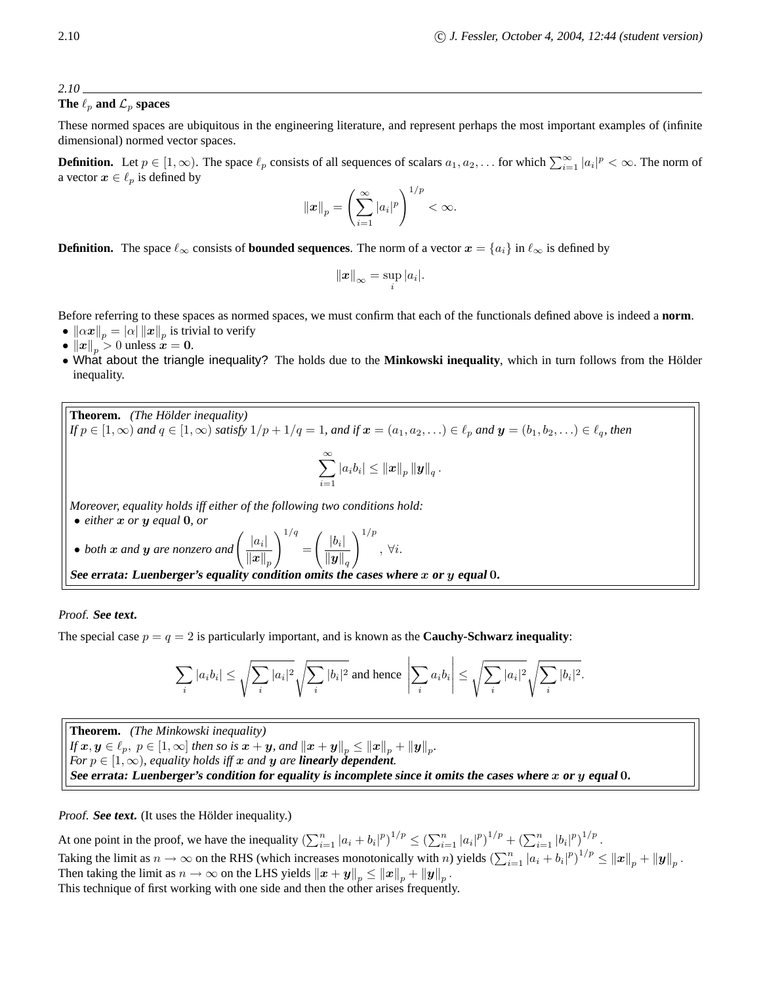# **The**  $\ell_p$  **and**  $\mathcal{L}_p$  **spaces**

These normed spaces are ubiquitous in the engineering literature, and represent perhaps the most important examples of (infinite dimensional) normed vector spaces.

**Definition.** Let  $p \in [1, \infty)$ . The space  $\ell_p$  consists of all sequences of scalars  $a_1, a_2, \ldots$  for which  $\sum_{i=1}^{\infty} |a_i|^p < \infty$ . The norm of a vector  $x \in \ell_p$  is defined by

$$
\|\boldsymbol{x}\|_p = \left(\sum_{i=1}^{\infty} |a_i|^p\right)^{1/p} < \infty.
$$

**Definition.** The space  $\ell_{\infty}$  consists of **bounded sequences**. The norm of a vector  $x = \{a_i\}$  in  $\ell_{\infty}$  is defined by

$$
\|\boldsymbol{x}\|_{\infty} = \sup_{i} |a_i|.
$$

Before referring to these spaces as normed spaces, we must confirm that each of the functionals defined above is indeed a **norm**.

- $\bullet \ \left\|\alpha \boldsymbol{x} \right\|_p = \left|\alpha\right| \left\|\boldsymbol{x} \right\|_p$  is trivial to verify
- $||x||_p > 0$  unless  $x = 0$ .
- What about the triangle inequality? The holds due to the **Minkowski inequality**, which in turn follows from the Holder ¨ inequality.

**Theorem.** *(The Holder inequality) ¨ If*  $p \in [1, \infty)$  *and*  $q \in [1, \infty)$  *satisfy*  $1/p + 1/q = 1$ *, and if*  $x = (a_1, a_2, ...) \in \ell_p$  *and*  $y = (b_1, b_2, ...) \in \ell_q$ *, then*  $\sum_{i=1}^{\infty}$  $\sum_{i=1} |a_i b_i| \leq {\left\| \boldsymbol{x} \right\|_p} {\left\| \boldsymbol{y} \right\|_q} \, .$ *Moreover, equality holds iff either of the following two conditions hold:* • *either* <sup>x</sup> *or* <sup>y</sup> *equal* <sup>0</sup>*, or* • *both*  $x$  *and*  $y$  *are nonzero and*  $\left(\frac{|a_i|}{||x||}\right)$  $\left\Vert \boldsymbol{x}\right\Vert _{p}$  $\setminus$ <sup>1/q</sup> =  $\int$   $\underline{|b_i|}$  $\left\Vert \boldsymbol{y}\right\Vert _{q}$  $\setminus$ <sup>1/p</sup> , ∀i. **See errata: Luenberger's equality condition omits the cases where** x **or** y **equal** 0**.**

# Proof. **See text.**

The special case  $p = q = 2$  is particularly important, and is known as the **Cauchy-Schwarz inequality**:

$$
\sum_i |a_i b_i| \leq \sqrt{\sum_i |a_i|^2} \sqrt{\sum_i |b_i|^2} \text{ and hence } \left| \sum_i a_i b_i \right| \leq \sqrt{\sum_i |a_i|^2} \sqrt{\sum_i |b_i|^2}.
$$

**Theorem.** *(The Minkowski inequality) If*  $\bm{x}, \bm{y} \in \ell_p, \ p \in [1,\infty]$  then so is  $\bm{x} + \bm{y}$ , and  $\left\| \bm{x} + \bm{y} \right\|_p \leq \left\| \bm{x} \right\|_p + \left\| \bm{y} \right\|_p.$ *For*  $p \in [1, \infty)$ *, equality holds iff* x *and* y *are linearly dependent.* See errata: Luenberger's condition for equality is incomplete since it omits the cases where  $x$  or  $y$  equal 0.

Proof. **See text.** (It uses the Hölder inequality.)

At one point in the proof, we have the inequality  $(\sum_{i=1}^n |a_i + b_i|^p)^{1/p} \leq (\sum_{i=1}^n |a_i|^p)^{1/p} + (\sum_{i=1}^n |b_i|^p)^{1/p}$ . Taking the limit as  $n \to \infty$  on the RHS (which increases monotonically with n) yields  $\left(\sum_{i=1}^n |a_i + b_i|^p\right)^{1/p} \le ||x||_p + ||y||_p$ . Then taking the limit as  $n \to \infty$  on the LHS yields  $\left\| \bm{x} + \bm{y} \right\|_p \leq \left\| \bm{x} \right\|_p + \left\| \bm{y} \right\|_p$ . This technique of first working with one side and then the other arises frequently.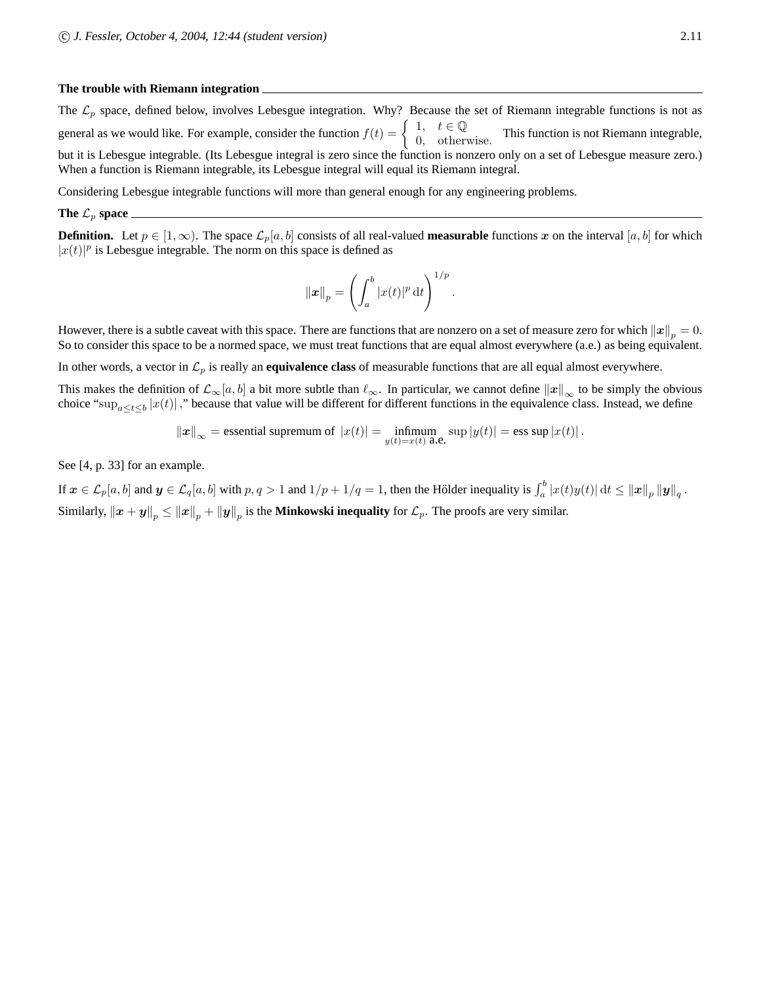# **The trouble with Riemann integration**

The  $\mathcal{L}_p$  space, defined below, involves Lebesgue integration. Why? Because the set of Riemann integrable functions is not as general as we would like. For example, consider the function  $f(t) = \begin{cases} 1, & t \in \mathbb{Q} \\ 0, & \text{otherwise} \end{cases}$  $\begin{array}{c} 1, & \ell \in \mathcal{Q} \\ 0, & \text{otherwise.} \end{array}$  This function is not Riemann integrable, but it is Lebesgue integrable. (Its Lebesgue integral is zero since the function is nonzero only on a set of Lebesgue measure zero.) When a function is Riemann integrable, its Lebesgue integral will equal its Riemann integral.

Considering Lebesgue integrable functions will more than general enough for any engineering problems.

### **The**  $\mathcal{L}_p$  **space**

**Definition.** Let  $p \in [1,\infty)$ . The space  $\mathcal{L}_p[a,b]$  consists of all real-valued **measurable** functions x on the interval [a, b] for which  $|x(t)|^p$  is Lebesgue integrable. The norm on this space is defined as

$$
\|\boldsymbol{x}\|_p = \left(\int_a^b |x(t)|^p \,\mathrm{d}t\right)^{1/p}
$$

.

However, there is a subtle caveat with this space. There are functions that are nonzero on a set of measure zero for which  $||x||_p = 0$ . So to consider this space to be a normed space, we must treat functions that are equal almost everywhere (a.e.) as being equivalent.

In other words, a vector in  $\mathcal{L}_p$  is really an **equivalence class** of measurable functions that are all equal almost everywhere.

This makes the definition of  $\mathcal{L}_{\infty}[a, b]$  a bit more subtle than  $\ell_{\infty}$ . In particular, we cannot define  $||x||_{\infty}$  to be simply the obvious choice " $\sup_{a \le t \le b} |x(t)|$ ," because that value will be different for different functions in the equivalence class. Instead, we define

$$
||x||_{\infty}
$$
 = essential supremum of  $|x(t)| = \inf_{y(t)=x(t)} \sup_{a \in \mathbb{R}} |y(t)| = \text{ess sup } |x(t)|$ .

See [4, p. 33] for an example.

If  $\boldsymbol{x} \in \mathcal{L}_p[a, b]$  and  $\boldsymbol{y} \in \mathcal{L}_q[a, b]$  with  $p, q > 1$  and  $1/p + 1/q = 1$ , then the Hölder inequality is  $\int_a^b |x(t)y(t)| dt \le ||\boldsymbol{x}||_p ||\boldsymbol{y}||_q$ . Similarly,  $||x + y||_p \le ||x||_p + ||y||_p$  is the **Minkowski inequality** for  $\mathcal{L}_p$ . The proofs are very similar.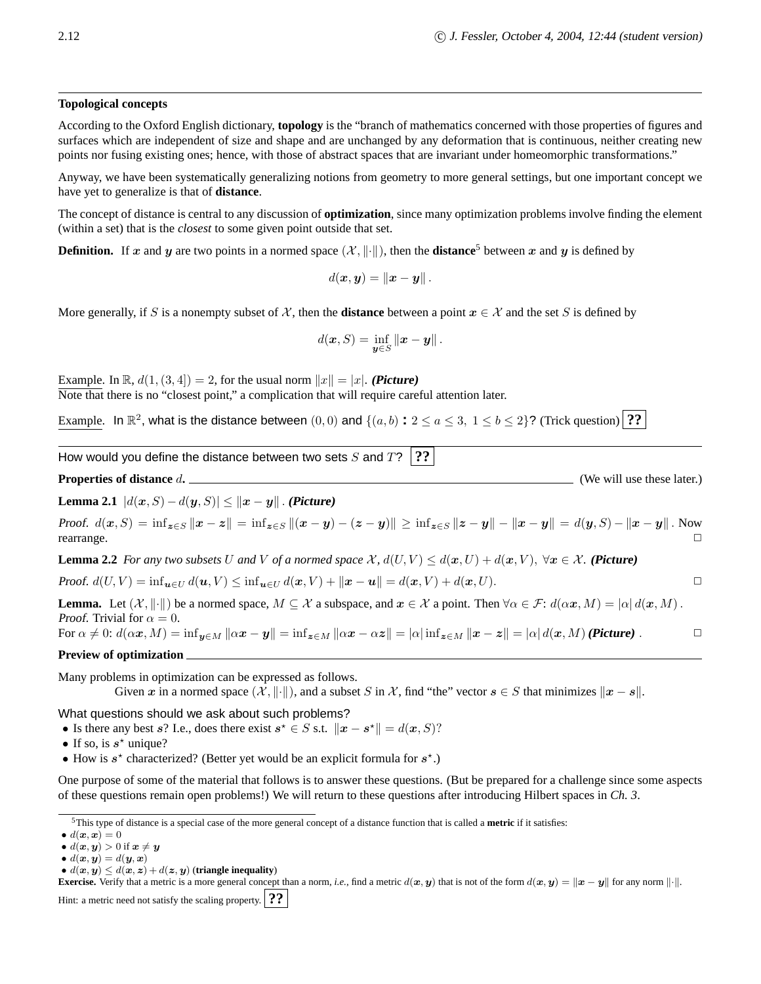# **Topological concepts**

According to the Oxford English dictionary, **topology** is the "branch of mathematics concerned with those properties of figures and surfaces which are independent of size and shape and are unchanged by any deformation that is continuous, neither creating new points nor fusing existing ones; hence, with those of abstract spaces that are invariant under homeomorphic transformations."

Anyway, we have been systematically generalizing notions from geometry to more general settings, but one important concept we have yet to generalize is that of **distance**.

The concept of distance is central to any discussion of **optimization**, since many optimization problems involve finding the element (within a set) that is the *closest* to some given point outside that set.

**Definition.** If x and y are two points in a normed space  $(\mathcal{X}, \|\cdot\|)$ , then the **distance**<sup>5</sup> between x and y is defined by

$$
d(\boldsymbol{x},\boldsymbol{y})=\|\boldsymbol{x}-\boldsymbol{y}\|.
$$

More generally, if S is a nonempty subset of X, then the **distance** between a point  $x \in \mathcal{X}$  and the set S is defined by

$$
d(\boldsymbol{x},S) = \inf_{\boldsymbol{y}\in S} \|\boldsymbol{x}-\boldsymbol{y}\|.
$$

Example. In  $\mathbb{R}$ ,  $d(1,(3,4)) = 2$ , for the usual norm  $||x|| = |x|$ . **(Picture)** Note that there is no "closest point," a complication that will require careful attention later.

Example. In  $\mathbb{R}^2$ , what is the distance between  $(0,0)$  and  $\{(a,b): 2 \le a \le 3, 1 \le b \le 2\}$ ? (Trick question)  $\boxed{??}$ 

How would you define the distance between two sets  $S$  and  $T$ ? <sup>2</sup>?

**Properties of distance** d**.** (We will use these later.)

**Lemma 2.1**  $|d(x, S) - d(y, S)| \le ||x - y||$ . **(Picture)** 

*Proof.*  $d(x, S) = \inf_{z \in S} ||x - z|| = \inf_{z \in S} ||(x - y) - (z - y)|| \ge \inf_{z \in S} ||z - y|| - ||x - y|| = d(y, S) - ||x - y||$ . Now rearrange. □ rearrange.  $\Box$ 

**Lemma 2.2** *For any two subsets* U *and* V *of a normed space*  $\mathcal{X}$ ,  $d(U, V) \leq d(x, U) + d(x, V)$ ,  $\forall x \in \mathcal{X}$ . (Picture)

Proof.  $d(U, V) = \inf_{\mathbf{u} \in U} d(\mathbf{u}, V) \leq \inf_{\mathbf{u} \in U} d(\mathbf{x}, V) + ||\mathbf{x} - \mathbf{u}|| = d(\mathbf{x}, V) + d(\mathbf{x}, U).$ 

**Lemma.** Let  $(\mathcal{X}, \|\cdot\|)$  be a normed space,  $M \subseteq \mathcal{X}$  a subspace, and  $x \in \mathcal{X}$  a point. Then  $\forall \alpha \in \mathcal{F}: d(\alpha x, M) = |\alpha| d(x, M)$ . *Proof.* Trivial for  $\alpha = 0$ . For  $\alpha \neq 0$ :  $d(\alpha x, M) = \inf_{y \in M} ||\alpha x - y|| = \inf_{z \in M} ||\alpha x - \alpha z|| = |\alpha| \inf_{z \in M} ||x - z|| = |\alpha| d(x, M)$  (Picture).

**Preview of optimization**

Many problems in optimization can be expressed as follows.

Given x in a normed space  $(\mathcal{X}, \|\cdot\|)$ , and a subset S in X, find "the" vector  $s \in S$  that minimizes  $\|x - s\|$ .

What questions should we ask about such problems?

• Is there any best s? I.e., does there exist  $s^* \in S$  s.t.  $\|\boldsymbol{x} - \boldsymbol{s}^*\| = d(\boldsymbol{x}, S)$ ?

• If so, is  $s^*$  unique?

• How is  $s^*$  characterized? (Better yet would be an explicit formula for  $s^*$ .)

One purpose of some of the material that follows is to answer these questions. (But be prepared for a challenge since some aspects of these questions remain open problems!) We will return to these questions after introducing Hilbert spaces in *Ch. 3*.

•  $d(\boldsymbol{x}, \boldsymbol{y}) \leq d(\boldsymbol{x}, \boldsymbol{z}) + d(\boldsymbol{z}, \boldsymbol{y})$  (triangle inequality)

**Exercise.** Verify that a metric is a more general concept than a norm, *i.e.*, find a metric  $d(x, y)$  that is not of the form  $d(x, y) = ||x - y||$  for any norm  $|| \cdot ||$ . Hint: a metric need not satisfy the scaling property. **??**

<sup>5</sup>This type of distance is a special case of the more general concept of a distance function that is called a **metric** if it satisfies:

 $\bullet d(\boldsymbol{x}, \boldsymbol{x}) = 0$ 

<sup>•</sup>  $d(\boldsymbol{x}, \boldsymbol{y}) > 0$  if  $\boldsymbol{x} \neq \boldsymbol{y}$ 

<sup>•</sup>  $d(\boldsymbol{x}, \boldsymbol{y}) = d(\boldsymbol{y}, \boldsymbol{x})$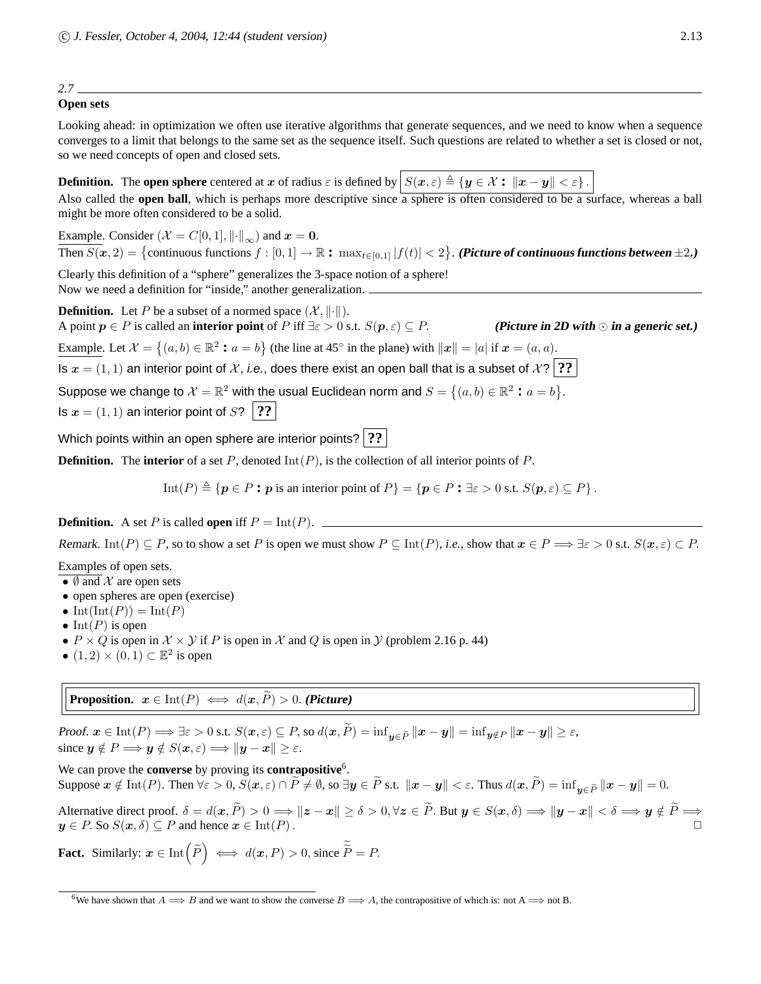# **Open sets**

Looking ahead: in optimization we often use iterative algorithms that generate sequences, and we need to know when a sequence converges to a limit that belongs to the same set as the sequence itself. Such questions are related to whether a set is closed or not, so we need concepts of open and closed sets.

**Definition.** The **open sphere** centered at x of radius  $\varepsilon$  is defined by  $S(x, \varepsilon) \triangleq \{y \in \mathcal{X} : ||x - y|| < \varepsilon\}$ .

Also called the **open ball**, which is perhaps more descriptive since a sphere is often considered to be a surface, whereas a ball might be more often considered to be a solid.

Example. Consider ( $\mathcal{X} = C[0,1], ||\cdot||_{\infty}$ ) and  $x = 0$ .  $\overline{\text{Then } S(\bm{x},2)} = \{\text{continuous functions } f: [0,1] \rightarrow \mathbb{R}: \ \max_{t \in [0,1]} |f(t)| < 2\}.$  (Picture of continuous functions between  $\pm 2$ .)

Clearly this definition of a "sphere" generalizes the 3-space notion of a sphere! Now we need a definition for "inside," another generalization.

**Definition.** Let P be a subset of a normed space  $(\mathcal{X}, \|\cdot\|)$ . A point  $p \in P$  is called an **interior point** of P iff  $\exists \varepsilon > 0$  s.t.  $S(p, \varepsilon) \subseteq P$ . (Picture in 2D with  $\odot$  in a generic set.)

Example. Let  $\mathcal{X} = \{(a, b) \in \mathbb{R}^2 : a = b\}$  (the line at 45<sup>°</sup> in the plane) with  $||x|| = |a|$  if  $x = (a, a)$ .

Is  $x = (1, 1)$  an interior point of X, i.e., does there exist an open ball that is a subset of  $X$ ? <sup>?</sup>?

Suppose we change to  $\mathcal{X} = \mathbb{R}^2$  with the usual Euclidean norm and  $S = \{(a, b) \in \mathbb{R}^2 : a = b\}$ .

Is  $x = (1, 1)$  an interior point of  $S$ ? <sup>?</sup>

Which points within an open sphere are interior points? **??**

**Definition.** The **interior** of a set P, denoted  $Int(P)$ , is the collection of all interior points of P.

Int(P)  $\triangleq \{p \in P : p \text{ is an interior point of } P\} = \{p \in P : \exists \varepsilon > 0 \text{ s.t. } S(p, \varepsilon) \subseteq P\}.$ 

**Definition.** A set P is called **open** iff  $P = \text{Int}(P)$ .

Remark. Int(P)  $\subseteq P$ , so to show a set P is open we must show  $P \subseteq \text{Int}(P)$ , *i.e.*, show that  $x \in P \Longrightarrow \exists \varepsilon > 0$  s.t.  $S(x, \varepsilon) \subset P$ .

Examples of open sets.

- $\emptyset$  and  $\mathcal X$  are open sets
- open spheres are open (exercise)
- Int $(\text{Int}(P)) = \text{Int}(P)$
- Int(P) is open
- $P \times Q$  is open in  $\mathcal{X} \times \mathcal{Y}$  if P is open in X and Q is open in  $\mathcal{Y}$  (problem 2.16 p. 44)
- $(1, 2) \times (0, 1) \subset \mathbb{E}^2$  is open

**Proposition.**  $x \in \text{Int}(P) \iff d(x, \tilde{P}) > 0$ . **(Picture)** 

Proof.  $\boldsymbol{x} \in \text{Int}(P) \Longrightarrow \exists \varepsilon > 0 \text{ s.t. } S(\boldsymbol{x}, \varepsilon) \subseteq P$ , so  $d(\boldsymbol{x}, \widetilde{P}) = \inf_{\boldsymbol{y} \in \widetilde{P}} \| \boldsymbol{x} - \boldsymbol{y} \| = \inf_{\boldsymbol{y} \notin P} \| \boldsymbol{x} - \boldsymbol{y} \| \geq \varepsilon$ , since  $y \notin P \Longrightarrow y \notin S(\mathbf{x}, \varepsilon) \Longrightarrow ||\mathbf{y} - \mathbf{x}|| > \varepsilon$ .

We can prove the **converse** by proving its **contrapositive**<sup>6</sup>. Suppose  $x \notin \text{Int}(P)$ . Then  $\forall \varepsilon > 0$ ,  $S(x, \varepsilon) \cap P \neq \emptyset$ , so  $\exists y \in \tilde{P}$  s.t.  $\|x - y\| < \varepsilon$ . Thus  $d(x, \tilde{P}) = \inf_{y \in \tilde{P}} \|x - y\| = 0$ .

Alternative direct proof.  $\delta = d(x, \tilde{P}) > 0 \Longrightarrow \|z - x\| \ge \delta > 0, \forall z \in \tilde{P}$ . But  $y \in S(x, \delta) \Longrightarrow \|y - x\| < \delta \Longrightarrow y \notin \tilde{P} \Longrightarrow$  $y \in P$ . So  $S(x, \delta) \subseteq P$  and hence  $x \in \text{Int}(P)$ .

**Fact.** Similarly:  $x \in \text{Int}\left(\widetilde{P}\right) \iff d(x, P) > 0$ , since  $\widetilde{\widetilde{P}} = P$ .

<sup>&</sup>lt;sup>6</sup>We have shown that  $A \Longrightarrow B$  and we want to show the converse  $B \Longrightarrow A$ , the contrapositive of which is: not  $A \Longrightarrow A$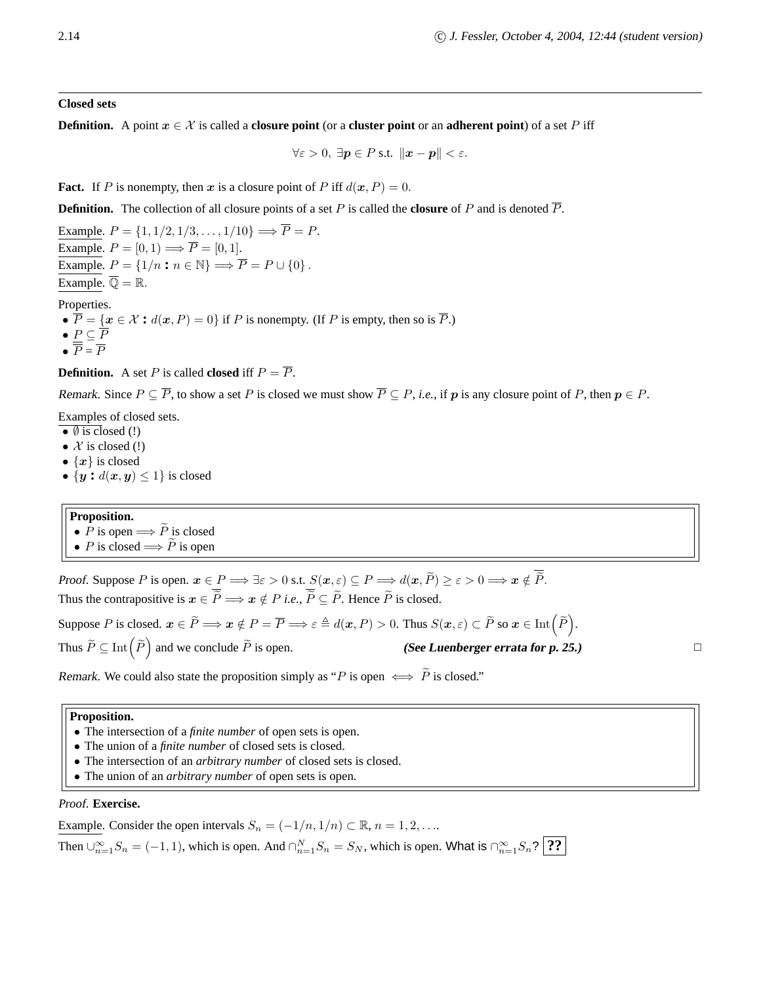**Closed sets**

**Definition.** A point  $x \in \mathcal{X}$  is called a **closure point** (or a **cluster point** or an **adherent point**) of a set P iff

$$
\forall \varepsilon > 0, \ \exists \mathbf{p} \in P \text{ s.t. } \|\mathbf{x} - \mathbf{p}\| < \varepsilon.
$$

**Fact.** If P is nonempty, then x is a closure point of P iff  $d(x, P) = 0$ .

**Definition.** The collection of all closure points of a set P is called the **closure** of P and is denoted  $\overline{P}$ .

Example.  $P = \{1, 1/2, 1/3, \ldots, 1/10\} \Longrightarrow \overline{P} = P$ . Example.  $P = [0, 1) \Longrightarrow \overline{P} = [0, 1]$ . Example.  $P = \{1/n : n \in \mathbb{N}\} \Longrightarrow \overline{P} = P \cup \{0\}.$ Example.  $\overline{\mathbb{Q}} = \mathbb{R}$ .

Properties.

- $\overline{P} = \{x \in \mathcal{X} : d(x, P) = 0\}$  if P is nonempty. (If P is empty, then so is  $\overline{P}$ .)
- $\bullet$   $\underline{P} \subseteq F$
- $\bullet$   $P = F$

**Definition.** A set P is called **closed** iff  $P = \overline{P}$ .

Remark. Since  $P \subseteq \overline{P}$ , to show a set P is closed we must show  $\overline{P} \subseteq P$ , *i.e.*, if p is any closure point of P, then  $p \in P$ .

Examples of closed sets.

- $\bullet$   $\emptyset$  is closed (!)
- $X$  is closed (!)
- $\{x\}$  is closed
- $\{y : d(x, y) \leq 1\}$  is closed

# **Proposition.**

- P is open  $\Longrightarrow \widetilde{P}$  is closed
- P is closed  $\Longrightarrow \widetilde{P}$  is open

Proof. Suppose P is open.  $x \in P \Longrightarrow \exists \varepsilon > 0$  s.t.  $S(x, \varepsilon) \subseteq P \Longrightarrow d(x, \widetilde{P}) \ge \varepsilon > 0 \Longrightarrow x \notin \overline{\widetilde{P}}$ . Thus the contrapositive is  $x \in \overline{P} \Longrightarrow x \notin P$  *i.e.*,  $\overline{P} \subseteq \overline{P}$ . Hence  $\overline{P}$  is closed.

Suppose P is closed.  $x \in \widetilde{P} \Longrightarrow x \notin P = \overline{P} \Longrightarrow \varepsilon \triangleq d(x, P) > 0$ . Thus  $S(x, \varepsilon) \subset \widetilde{P}$  so  $x \in \text{Int}(\widetilde{P})$ . Thus  $\widetilde{P} \subseteq \text{Int}\left(\widetilde{P}\right)$  $\Box$  (See Luenberger errata for p. 25.)

Remark. We could also state the proposition simply as "P is open  $\iff \widetilde{P}$  is closed."

# **Proposition.**

- The intersection of a *finite number* of open sets is open.
- The union of a *finite number* of closed sets is closed.
- The intersection of an *arbitrary number* of closed sets is closed.
- The union of an *arbitrary number* of open sets is open.

# Proof. **Exercise.**

Example. Consider the open intervals  $S_n = (-1/n, 1/n) \subset \mathbb{R}, n = 1, 2, \ldots$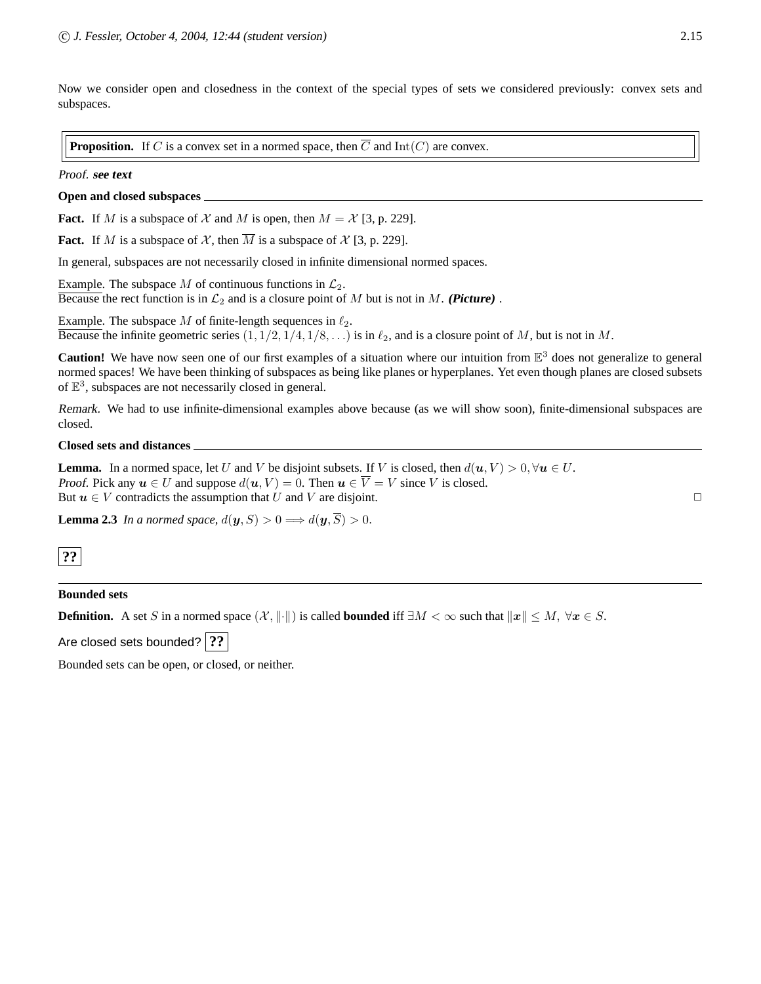Now we consider open and closedness in the context of the special types of sets we considered previously: convex sets and subspaces.

**Proposition.** If C is a convex set in a normed space, then  $\overline{C}$  and  $Int(C)$  are convex.

# Proof. **see text**

# **Open and closed subspaces**

**Fact.** If M is a subspace of X and M is open, then  $M = \mathcal{X}$  [3, p. 229].

**Fact.** If M is a subspace of X, then  $\overline{M}$  is a subspace of X [3, p. 229].

In general, subspaces are not necessarily closed in infinite dimensional normed spaces.

Example. The subspace M of continuous functions in  $\mathcal{L}_2$ . Because the rect function is in  $\mathcal{L}_2$  and is a closure point of M but is not in M. **(Picture)**.

Example. The subspace M of finite-length sequences in  $\ell_2$ . Because the infinite geometric series  $(1, 1/2, 1/4, 1/8, ...)$  is in  $\ell_2$ , and is a closure point of M, but is not in M.

**Caution!** We have now seen one of our first examples of a situation where our intuition from  $\mathbb{E}^3$  does not generalize to general normed spaces! We have been thinking of subspaces as being like planes or hyperplanes. Yet even though planes are closed subsets of  $\mathbb{E}^3$ , subspaces are not necessarily closed in general.

Remark. We had to use infinite-dimensional examples above because (as we will show soon), finite-dimensional subspaces are closed.

# **Closed sets and distances**

**Lemma.** In a normed space, let U and V be disjoint subsets. If V is closed, then  $d(u, V) > 0, \forall u \in U$ . Proof. Pick any  $u \in U$  and suppose  $d(u, V) = 0$ . Then  $u \in \overline{V} = V$  since V is closed. But  $u \in V$  contradicts the assumption that U and V are disjoint.

**Lemma 2.3** *In a normed space,*  $d(\mathbf{y}, S) > 0 \Longrightarrow d(\mathbf{y}, \overline{S}) > 0$ .

# **??**

# **Bounded sets**

**Definition.** A set S in a normed space  $(X, \|\cdot\|)$  is called **bounded** iff  $\exists M < \infty$  such that  $\|x\| \le M$ ,  $\forall x \in S$ .

Are closed sets bounded? | ??

Bounded sets can be open, or closed, or neither.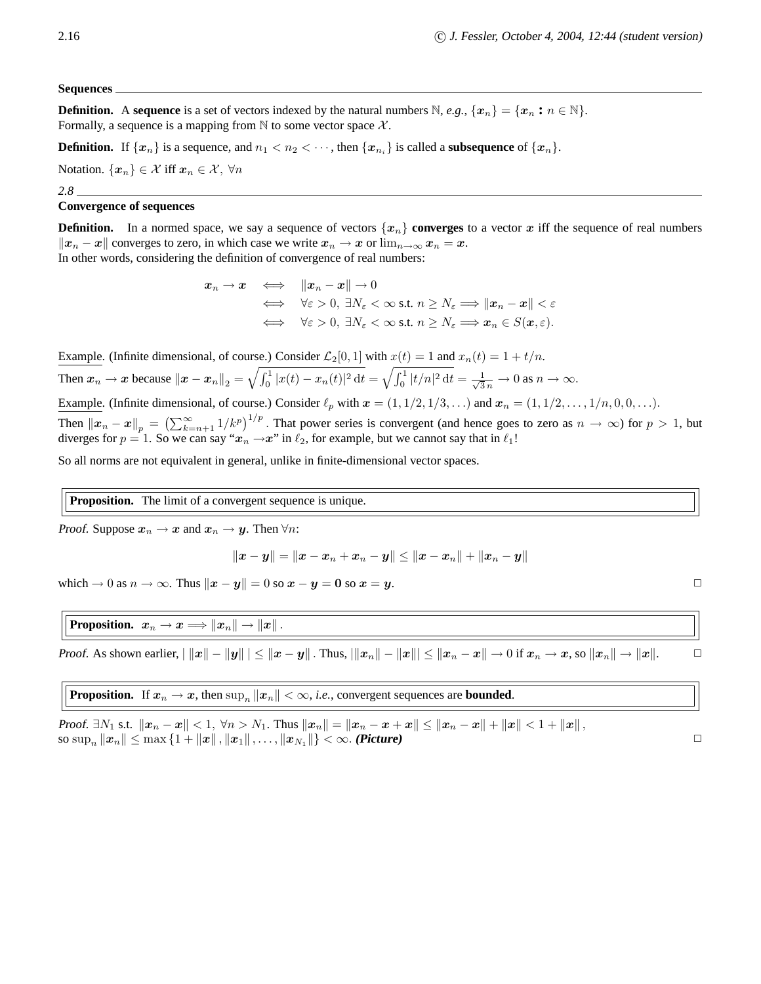#### **Sequences**

**Definition.** A **sequence** is a set of vectors indexed by the natural numbers  $\mathbb{N}$ , *e.g.*,  $\{x_n\} = \{x_n : n \in \mathbb{N}\}\$ . Formally, a sequence is a mapping from  $\mathbb N$  to some vector space  $\mathcal X$ .

**Definition.** If  $\{x_n\}$  is a sequence, and  $n_1 < n_2 < \cdots$ , then  $\{x_{n_i}\}$  is called a **subsequence** of  $\{x_n\}$ .

Notation.  $\{x_n\} \in \mathcal{X}$  iff  $x_n \in \mathcal{X}$ ,  $\forall n$ 

*2.8*

# **Convergence of sequences**

**Definition.** In a normed space, we say a sequence of vectors  $\{x_n\}$  **converges** to a vector x iff the sequence of real numbers  $||x_n - x||$  converges to zero, in which case we write  $x_n \to x$  or  $\lim_{n\to\infty} x_n = x$ . In other words, considering the definition of convergence of real numbers:

$$
x_n \to x \quad \Longleftrightarrow \quad \|x_n - x\| \to 0
$$
  

$$
\iff \forall \varepsilon > 0, \exists N_{\varepsilon} < \infty \text{ s.t. } n \ge N_{\varepsilon} \Longrightarrow \|x_n - x\| < \varepsilon
$$
  

$$
\iff \forall \varepsilon > 0, \exists N_{\varepsilon} < \infty \text{ s.t. } n \ge N_{\varepsilon} \Longrightarrow x_n \in S(x, \varepsilon).
$$

Example. (Infinite dimensional, of course.) Consider  $\mathcal{L}_2[0,1]$  with  $x(t) = 1$  and  $x_n(t) = 1 + t/n$ . Then  $x_n \to x$  because  $||x - x_n||_2 = \sqrt{\int_0^1 |x(t) - x_n(t)|^2 dt} = \sqrt{\int_0^1 |t/n|^2 dt} = \frac{1}{\sqrt{3}n} \to 0$  as  $n \to \infty$ . Example. (Infinite dimensional, of course.) Consider  $\ell_p$  with  $\mathbf{x} = (1, 1/2, 1/3, ...)$  and  $\mathbf{x}_n = (1, 1/2, ..., 1/n, 0, 0, ...)$ . Then  $||x_n - x||_p = \left(\sum_{k=n+1}^{\infty} 1/k^p\right)^{1/p}$ . That power series is convergent (and hence goes to zero as  $n \to \infty$ ) for  $p > 1$ , but

So all norms are not equivalent in general, unlike in finite-dimensional vector spaces.

diverges for  $p = 1$ . So we can say " $x_n \rightarrow x$ " in  $\ell_2$ , for example, but we cannot say that in  $\ell_1!$ 

**Proposition.** The limit of a convergent sequence is unique.

*Proof.* Suppose  $x_n \to x$  and  $x_n \to y$ . Then  $\forall n$ :

$$
\|\boldsymbol{x}-\boldsymbol{y}\|=\|\boldsymbol{x}-\boldsymbol{x}_n+\boldsymbol{x}_n-\boldsymbol{y}\|\leq \|\boldsymbol{x}-\boldsymbol{x}_n\|+\|\boldsymbol{x}_n-\boldsymbol{y}\|
$$

which  $\rightarrow 0$  as  $n \rightarrow \infty$ . Thus  $||x - y|| = 0$  so  $x - y = 0$  so  $x = y$ .

**Proposition.**  $x_n \to x \Longrightarrow ||x_n|| \to ||x||$ .

Proof. As shown earlier,  $||x|| - ||y|| \le ||x - y||$ . Thus,  $||x_n|| - ||x||| \le ||x_n - x|| \to 0$  if  $x_n \to x$ , so  $||x_n|| \to ||x||$ .

**Proposition.** If  $x_n \to x$ , then  $\sup_n ||x_n|| < \infty$ , *i.e.*, convergent sequences are **bounded**.

*Proof.* ∃N<sub>1</sub> s.t.  $||x_n - x|| < 1$ ,  $\forall n > N_1$ . Thus  $||x_n|| = ||x_n - x + x|| \le ||x_n - x|| + ||x|| < 1 + ||x||$ , so  $\sup_n ||x_n|| \leq \max\{1 + ||x||, ||x_1||, \dots, ||x_{N_1}||\} < \infty$ . **(Picture)**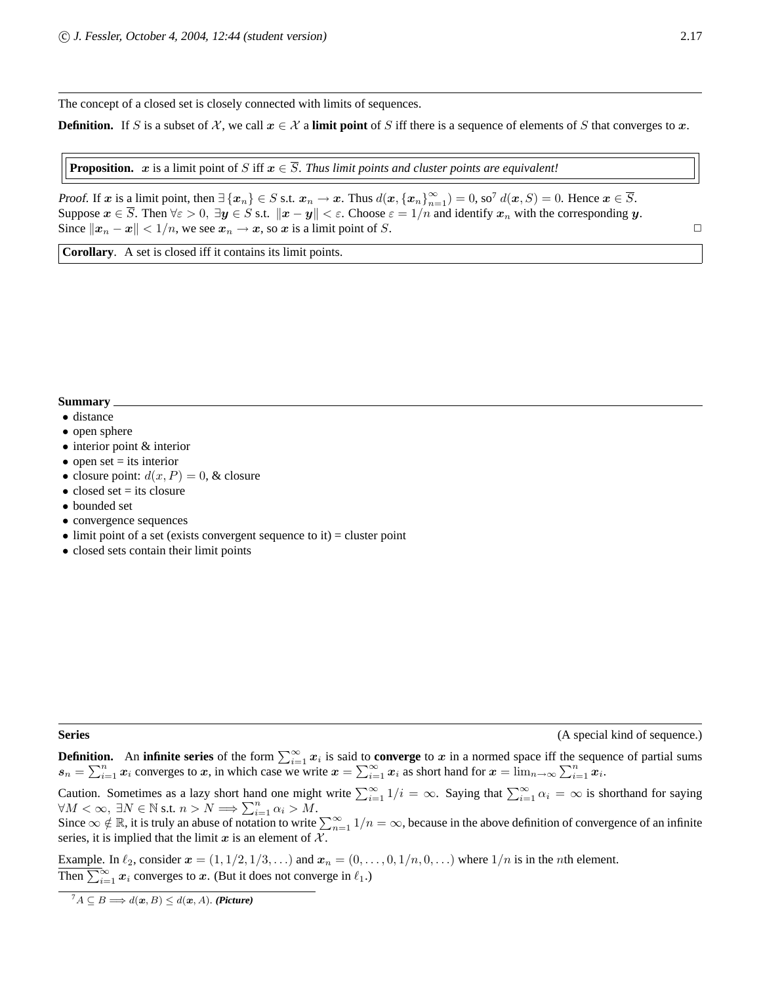The concept of a closed set is closely connected with limits of sequences.

**Definition.** If S is a subset of X, we call  $x \in \mathcal{X}$  a **limit point** of S iff there is a sequence of elements of S that converges to x.

**Proposition.** x is a limit point of S iff  $x \in \overline{S}$ . *Thus limit points and cluster points are equivalent!* 

Proof. If x is a limit point, then  $\exists \{x_n\} \in S$  s.t.  $x_n \to x$ . Thus  $d(x, \{x_n\}_{n=1}^{\infty}) = 0$ , so  $d(x, S) = 0$ . Hence  $x \in \overline{S}$ . Suppose  $x \in \overline{S}$ . Then  $\forall \varepsilon > 0$ ,  $\exists y \in S$  s.t.  $\|x - y\| < \varepsilon$ . Choose  $\varepsilon = 1/n$  and identify  $x_n$  with the corresponding y. Since  $||x_n - x|| < 1/n$ , we see  $x_n \to x$ , so x is a limit point of S.

**Corollary**. A set is closed iff it contains its limit points.

# **Summary**

- distance
- open sphere
- interior point & interior
- open set  $=$  its interior
- closure point:  $d(x, P) = 0$ , & closure
- $\bullet$  closed set = its closure
- bounded set
- convergence sequences
- $\bullet$  limit point of a set (exists convergent sequence to it) = cluster point
- closed sets contain their limit points

**Series** (A special kind of sequence.)

**Definition.** An **infinite series** of the form  $\sum_{i=1}^{\infty} x_i$  is said to **converge** to x in a normed space iff the sequence of partial sums  $s_n = \sum_{i=1}^n x_i$  converges to x, in which case we write  $x = \sum_{i=1}^{\infty} x_i$  as short hand for  $x = \lim_{n \to \infty} \sum_{i=1}^n x_i$ .

Caution. Sometimes as a lazy short hand one might write  $\sum_{i=1}^{\infty} 1/i = \infty$ . Saying that  $\sum_{i=1}^{\infty} \alpha_i = \infty$  is shorthand for saying  $\forall M < \infty, \exists N \in \mathbb{N} \text{ s.t. } n > N \Longrightarrow \sum_{i=1}^{n} \alpha_i > M.$ 

Since  $\infty \notin \mathbb{R}$ , it is truly an abuse of notation to write  $\sum_{n=1}^{\infty} 1/n = \infty$ , because in the above definition of convergence of an infinite series, it is implied that the limit  $x$  is an element of  $\mathcal{X}$ .

Example. In  $\ell_2$ , consider  $x = (1, 1/2, 1/3, ...)$  and  $x_n = (0, \ldots, 0, 1/n, 0, ...)$  where  $1/n$  is in the *n*th element. Then  $\sum_{i=1}^{\infty} x_i$  converges to x. (But it does not converge in  $\ell_1$ .)

 ${}^7A \subseteq B \Longrightarrow d(\mathbf{x},B) \leq d(\mathbf{x},A)$ . **(Picture)**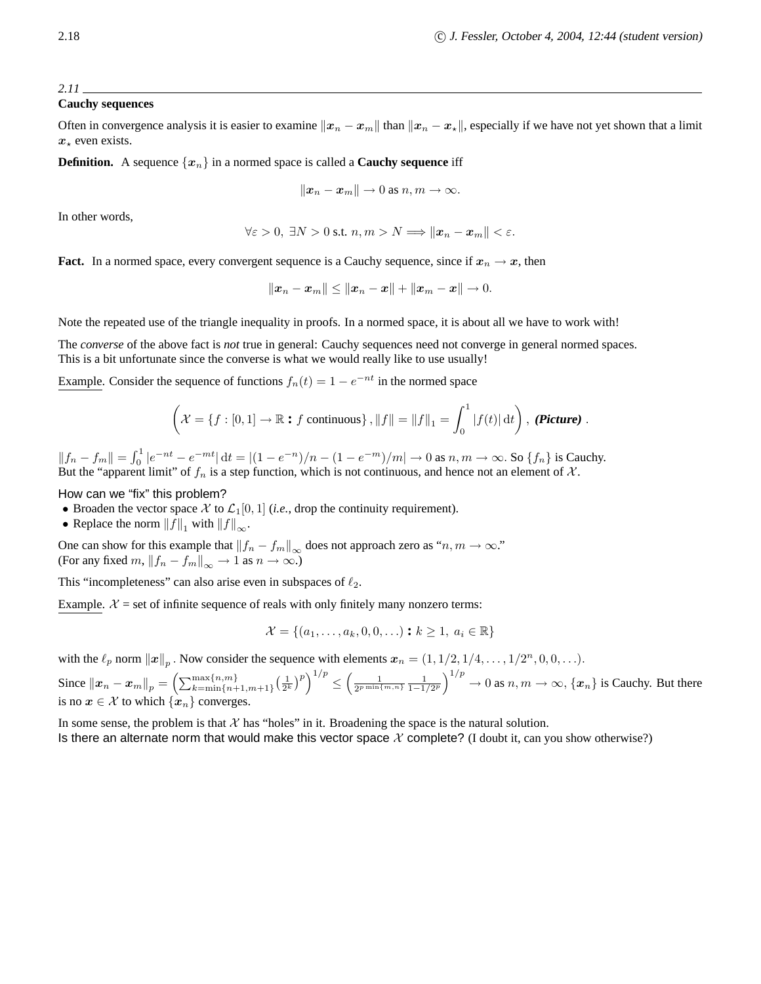# **Cauchy sequences**

Often in convergence analysis it is easier to examine  $||x_n - x_m||$  than  $||x_n - x_{\star}||$ , especially if we have not yet shown that a limit  $x_*$  even exists.

**Definition.** A sequence  $\{x_n\}$  in a normed space is called a **Cauchy sequence** iff

$$
\|\boldsymbol{x}_n-\boldsymbol{x}_m\|\to 0 \text{ as } n,m\to\infty.
$$

In other words,

$$
\forall \varepsilon > 0, \ \exists N > 0 \text{ s.t. } n, m > N \Longrightarrow ||\boldsymbol{x}_n - \boldsymbol{x}_m|| < \varepsilon.
$$

**Fact.** In a normed space, every convergent sequence is a Cauchy sequence, since if  $x_n \to x$ , then

$$
||x_n - x_m|| \le ||x_n - x|| + ||x_m - x|| \to 0.
$$

Note the repeated use of the triangle inequality in proofs. In a normed space, it is about all we have to work with!

The *converse* of the above fact is *not* true in general: Cauchy sequences need not converge in general normed spaces. This is a bit unfortunate since the converse is what we would really like to use usually!

Example. Consider the sequence of functions  $f_n(t) = 1 - e^{-nt}$  in the normed space

$$
\left(\mathcal{X} = \{f : [0,1] \to \mathbb{R} : f \text{ continuous}\}, ||f|| = ||f||_1 = \int_0^1 |f(t)| dt\right), \text{ (Picture)}.
$$

 $||f_n - f_m|| = \int_0^1 |e^{-nt} - e^{-mt}| dt = |(1 - e^{-n})/n - (1 - e^{-m})/m| \to 0$  as  $n, m \to \infty$ . So  $\{f_n\}$  is Cauchy. But the "apparent limit" of  $f_n$  is a step function, which is not continuous, and hence not an element of  $\mathcal{X}$ .

How can we "fix" this problem?

- Broaden the vector space X to  $\mathcal{L}_1[0, 1]$  (*i.e.*, drop the continuity requirement).
- Replace the norm  $||f||_1$  with  $||f||_{\infty}$ .

One can show for this example that  $||f_n - f_m||_{\infty}$  does not approach zero as "n,  $m \to \infty$ ." (For any fixed  $m$ ,  $||f_n - f_m||_{\infty} \to 1$  as  $n \to \infty$ .)

This "incompleteness" can also arise even in subspaces of  $\ell_2$ .

Example.  $X = set$  of infinite sequence of reals with only finitely many nonzero terms:

$$
\mathcal{X} = \{(a_1, \dots, a_k, 0, 0, \dots) : k \ge 1, a_i \in \mathbb{R}\}\
$$

with the  $\ell_p$  norm  $||x||_p$ . Now consider the sequence with elements  $x_n = (1, 1/2, 1/4, \ldots, 1/2^n, 0, 0, \ldots)$ .

Since  $||x_n - x_m||_p = \left(\sum_{k=\min\{n+1,m+1\}}^{\max\{n,m\}} \left(\frac{1}{2^k}\right)^p\right)^{1/p}$ ≤  $\left(\frac{1}{2^{p\min\{m,n\}}}\frac{1}{1-1/2^p}\right)^{1/p}\to 0$  as  $n,m\to\infty$ ,  $\{\mathbf{x}_n\}$  is Cauchy. But there is no  $x \in \mathcal{X}$  to which  $\{x_n\}$  converges.

In some sense, the problem is that  $X$  has "holes" in it. Broadening the space is the natural solution. Is there an alternate norm that would make this vector space  $X$  complete? (I doubt it, can you show otherwise?)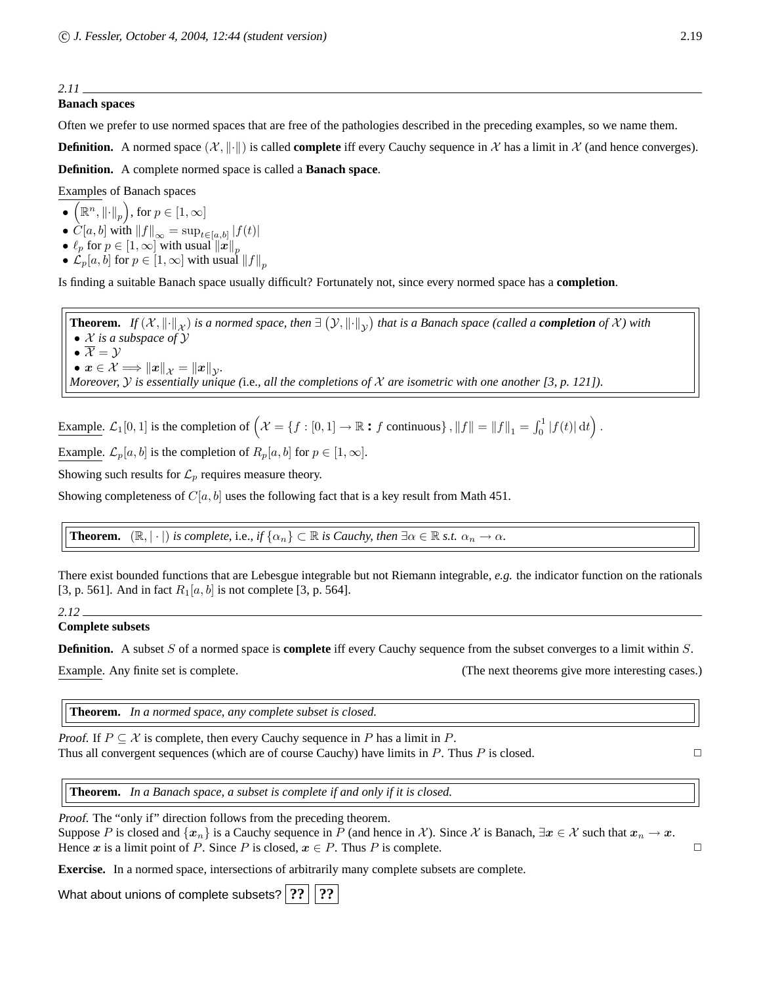# **Banach spaces**

Often we prefer to use normed spaces that are free of the pathologies described in the preceding examples, so we name them.

**Definition.** A normed space  $(\mathcal{X}, \|\cdot\|)$  is called **complete** iff every Cauchy sequence in X has a limit in X (and hence converges).

**Definition.** A complete normed space is called a **Banach space**.

Examples of Banach spaces

- $\overline{\left(\mathbb{R}^n, \left\|\cdot\right\|_p\right)}$ , for  $p \in \left[1, \infty\right]$
- $C[a, b]$  with  $||f||_{\infty} = \sup_{t \in [a, b]} |f(t)|$
- $\bullet\,\,\ell_p$  for  $p\in [1,\infty]$  with usual  $\left\Vert \boldsymbol{x}\right\Vert _{p}$
- $\mathcal{L}_p[a, b]$  for  $p \in [1, \infty]$  with usual  $||f||_p$

Is finding a suitable Banach space usually difficult? Fortunately not, since every normed space has a **completion**.

**Theorem.** *If*  $(X, \|\cdot\|_X)$  *is a normed space, then*  $\exists (Y, \|\cdot\|_Y)$  *that is a Banach space (called a <i>completion* of X) with • X *is a subspace of* Y •  $\overline{\mathcal{X}} = \mathcal{Y}$  $\bullet x \in \mathcal{X} \Longrightarrow \|x\|_{\mathcal{X}} = \|x\|_{\mathcal{Y}}.$ *Moreover,* Y *is essentially unique (*i.e.*, all the completions of* X *are isometric with one another [3, p. 121]).*

Example.  $\mathcal{L}_1[0,1]$  is the completion of  $\left(\mathcal{X} = \{f : [0,1] \to \mathbb{R} : f \text{ continuous}\}\right), ||f|| = ||f||_1 = \int_0^1 |f(t)| dt\right)$ .

Example.  $\mathcal{L}_p[a, b]$  is the completion of  $R_p[a, b]$  for  $p \in [1, \infty]$ .

Showing such results for  $\mathcal{L}_p$  requires measure theory.

Showing completeness of  $C[a, b]$  uses the following fact that is a key result from Math 451.

**Theorem.**  $(\mathbb{R}, |\cdot|)$  *is complete,* i.e., if  $\{\alpha_n\} \subset \mathbb{R}$  *is Cauchy, then*  $\exists \alpha \in \mathbb{R}$  *s.t.*  $\alpha_n \to \alpha$ *.* 

There exist bounded functions that are Lebesgue integrable but not Riemann integrable, *e.g.* the indicator function on the rationals [3, p. 561]. And in fact  $R_1[a, b]$  is not complete [3, p. 564].

*2.12*

# **Complete subsets**

**Definition.** A subset S of a normed space is **complete** iff every Cauchy sequence from the subset converges to a limit within S.

Example. Any finite set is complete. (The next theorems give more interesting cases.)

**Theorem.** *In a normed space, any complete subset is closed.*

*Proof.* If  $P \subseteq \mathcal{X}$  is complete, then every Cauchy sequence in P has a limit in P. Thus all convergent sequences (which are of course Cauchy) have limits in P. Thus P is closed.  $\Box$ 

**Theorem.** *In a Banach space, a subset is complete if and only if it is closed.*

Proof. The "only if" direction follows from the preceding theorem.

Suppose P is closed and  $\{x_n\}$  is a Cauchy sequence in P (and hence in X). Since X is Banach,  $\exists x \in \mathcal{X}$  such that  $x_n \to x$ . Hence x is a limit point of P. Since P is closed,  $x \in P$ . Thus P is complete.

**Exercise.** In a normed space, intersections of arbitrarily many complete subsets are complete.

What about unions of complete subsets? **??** | ??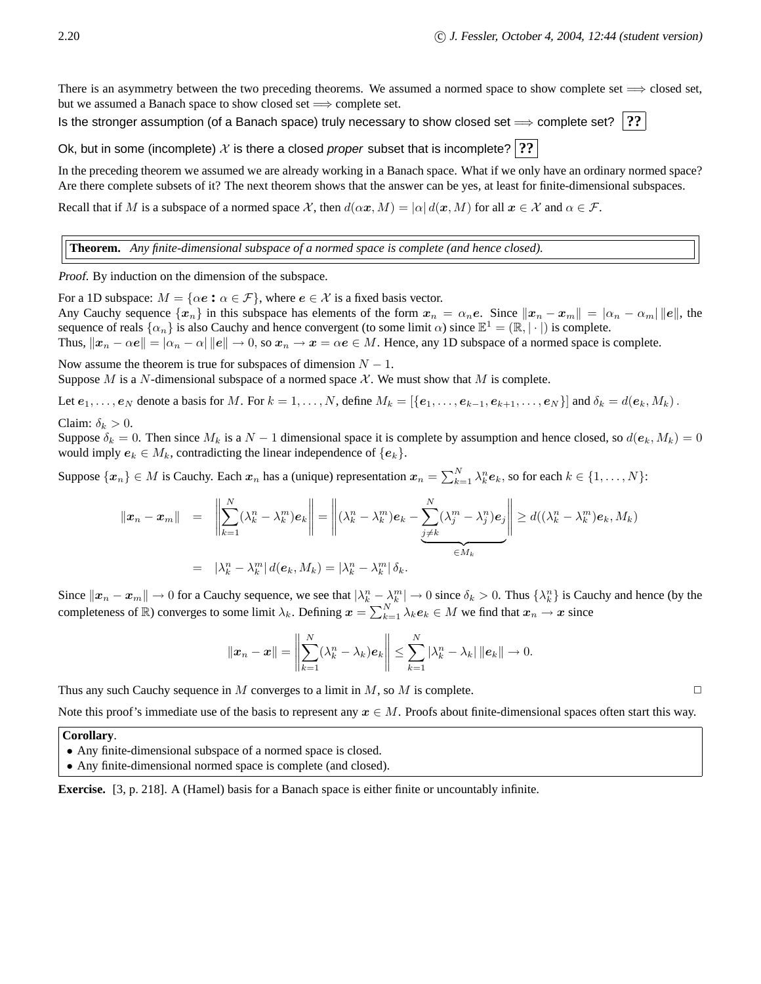There is an asymmetry between the two preceding theorems. We assumed a normed space to show complete set  $\implies$  closed set, but we assumed a Banach space to show closed set  $\implies$  complete set.

Is the stronger assumption (of a Banach space) truly necessary to show closed set  $\Rightarrow$  complete set?  $\ket{?}$ 

Ok, but in some (incomplete)  $\mathcal X$  is there a closed *proper* subset that is incomplete? **??** 

In the preceding theorem we assumed we are already working in a Banach space. What if we only have an ordinary normed space? Are there complete subsets of it? The next theorem shows that the answer can be yes, at least for finite-dimensional subspaces.

Recall that if M is a subspace of a normed space X, then  $d(\alpha x, M) = |\alpha| d(x, M)$  for all  $x \in \mathcal{X}$  and  $\alpha \in \mathcal{F}$ .

**Theorem.** *Any finite-dimensional subspace of a normed space is complete (and hence closed).*

Proof. By induction on the dimension of the subspace.

For a 1D subspace:  $M = \{ \alpha e : \alpha \in \mathcal{F} \}$ , where  $e \in \mathcal{X}$  is a fixed basis vector.

Any Cauchy sequence  $\{x_n\}$  in this subspace has elements of the form  $x_n = \alpha_n e$ . Since  $||x_n - x_m|| = |\alpha_n - \alpha_m|| ||e||$ , the sequence of reals  $\{\alpha_n\}$  is also Cauchy and hence convergent (to some limit  $\alpha$ ) since  $\mathbb{E}^1 = (\mathbb{R}, |\cdot|)$  is complete.

Thus,  $\|x_n - \alpha e\| = |\alpha_n - \alpha| \|e\| \to 0$ , so  $x_n \to x = \alpha e \in M$ . Hence, any 1D subspace of a normed space is complete.

Now assume the theorem is true for subspaces of dimension  $N - 1$ . Suppose M is a N-dimensional subspace of a normed space  $\mathcal{X}$ . We must show that M is complete.

Let  $e_1, \ldots, e_N$  denote a basis for M. For  $k = 1, \ldots, N$ , define  $M_k = [\{e_1, \ldots, e_{k-1}, e_{k+1}, \ldots, e_N\}]$  and  $\delta_k = d(e_k, M_k)$ .

Claim:  $\delta_k > 0$ .

Suppose  $\delta_k = 0$ . Then since  $M_k$  is a  $N - 1$  dimensional space it is complete by assumption and hence closed, so  $d(e_k, M_k) = 0$ would imply  $e_k \in M_k$ , contradicting the linear independence of  $\{e_k\}$ .

Suppose  $\{x_n\} \in M$  is Cauchy. Each  $x_n$  has a (unique) representation  $x_n = \sum_{k=1}^N \lambda_k^n e_k$ , so for each  $k \in \{1, \dots, N\}$ :

$$
\begin{aligned}\n\|\boldsymbol{x}_n - \boldsymbol{x}_m\| &= \left\|\sum_{k=1}^N (\lambda_k^n - \lambda_k^m) \boldsymbol{e}_k\right\| = \left\|(\lambda_k^n - \lambda_k^m) \boldsymbol{e}_k - \sum_{j \neq k}^N (\lambda_j^m - \lambda_j^n) \boldsymbol{e}_j\right\| \ge d((\lambda_k^n - \lambda_k^m) \boldsymbol{e}_k, M_k) \\
&= |\lambda_k^n - \lambda_k^m| \, d(\boldsymbol{e}_k, M_k) = |\lambda_k^n - \lambda_k^m| \, \delta_k.\n\end{aligned}
$$

Since  $||x_n - x_m|| \to 0$  for a Cauchy sequence, we see that  $|\lambda_k^n - \lambda_k^m| \to 0$  since  $\delta_k > 0$ . Thus  $\{\lambda_k^n\}$  is Cauchy and hence (by the completeness of  $\mathbb R$ ) converges to some limit  $\lambda_k$ . Defining  $x = \sum_{k=1}^N \lambda_k e_k \in M$  we find that  $x_n \to x$  since

$$
\|\boldsymbol{x}_n-\boldsymbol{x}\|=\left\|\sum_{k=1}^N(\lambda_k^n-\lambda_k)\boldsymbol{e}_k\right\|\leq \sum_{k=1}^N|\lambda_k^n-\lambda_k|\,\|\boldsymbol{e}_k\|\to 0.
$$

Thus any such Cauchy sequence in M converges to a limit in M, so M is complete.  $\Box$ 

Note this proof's immediate use of the basis to represent any  $x \in M$ . Proofs about finite-dimensional spaces often start this way.

**Corollary**.

- Any finite-dimensional subspace of a normed space is closed.
- Any finite-dimensional normed space is complete (and closed).

**Exercise.** [3, p. 218]. A (Hamel) basis for a Banach space is either finite or uncountably infinite.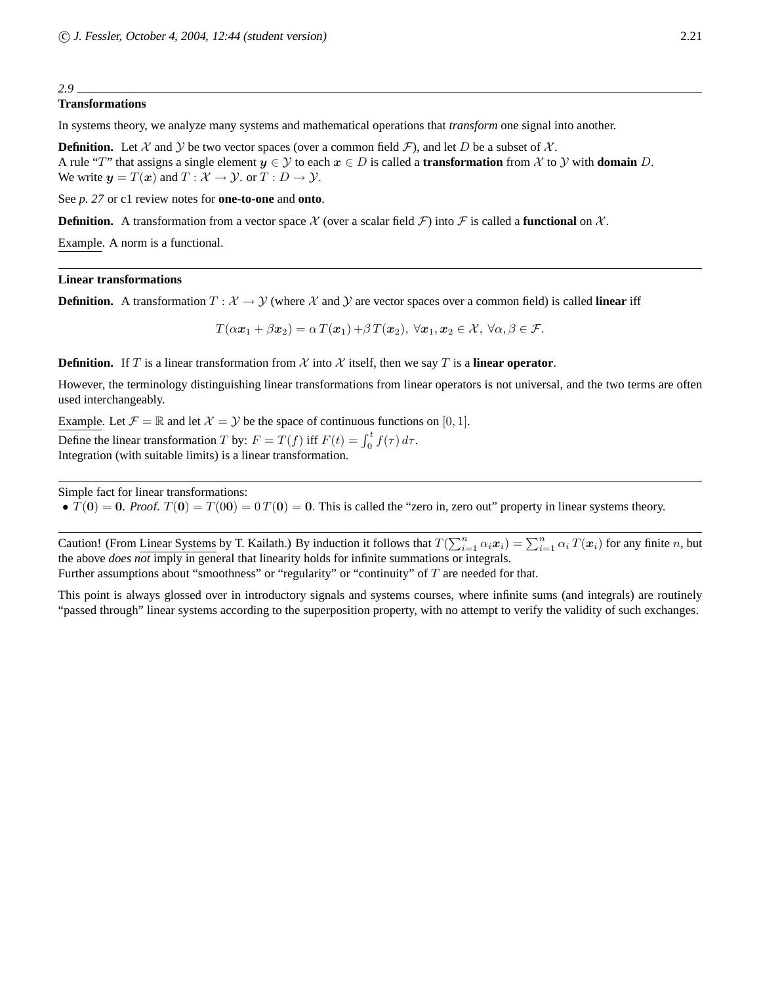# **Transformations**

In systems theory, we analyze many systems and mathematical operations that *transform* one signal into another.

**Definition.** Let X and Y be two vector spaces (over a common field  $\mathcal{F}$ ), and let D be a subset of X. A rule "T" that assigns a single element  $y \in \mathcal{Y}$  to each  $x \in D$  is called a **transformation** from  $\mathcal{X}$  to  $\mathcal{Y}$  with **domain** D. We write  $y = T(x)$  and  $T : \mathcal{X} \to \mathcal{Y}$ . or  $T : D \to \mathcal{Y}$ .

See *p. 27* or c1 review notes for **one-to-one** and **onto**.

**Definition.** A transformation from a vector space X (over a scalar field F) into F is called a **functional** on X.

Example. A norm is a functional.

# **Linear transformations**

**Definition.** A transformation  $T : \mathcal{X} \to \mathcal{Y}$  (where X and Y are vector spaces over a common field) is called **linear** iff

 $T(\alpha x_1 + \beta x_2) = \alpha T(x_1) + \beta T(x_2), \ \forall x_1, x_2 \in \mathcal{X}, \ \forall \alpha, \beta \in \mathcal{F}.$ 

**Definition.** If T is a linear transformation from X into X itself, then we say T is a **linear operator**.

However, the terminology distinguishing linear transformations from linear operators is not universal, and the two terms are often used interchangeably.

Example. Let  $\mathcal{F} = \mathbb{R}$  and let  $\mathcal{X} = \mathcal{Y}$  be the space of continuous functions on [0, 1].

Define the linear transformation T by:  $F = T(f)$  iff  $F(t) = \int_0^t f(\tau) d\tau$ . Integration (with suitable limits) is a linear transformation.

Simple fact for linear transformations:

•  $T(0) = 0$ . Proof.  $T(0) = T(00) = 0$   $T(0) = 0$ . This is called the "zero in, zero out" property in linear systems theory.

Caution! (From Linear Systems by T. Kailath.) By induction it follows that  $T(\sum_{i=1}^n \alpha_i \mathbf{x}_i) = \sum_{i=1}^n \alpha_i T(\mathbf{x}_i)$  for any finite n, but the above *does not* imply in general that linearity holds for infinite summations or integrals.

Further assumptions about "smoothness" or "regularity" or "continuity" of T are needed for that.

This point is always glossed over in introductory signals and systems courses, where infinite sums (and integrals) are routinely "passed through" linear systems according to the superposition property, with no attempt to verify the validity of such exchanges.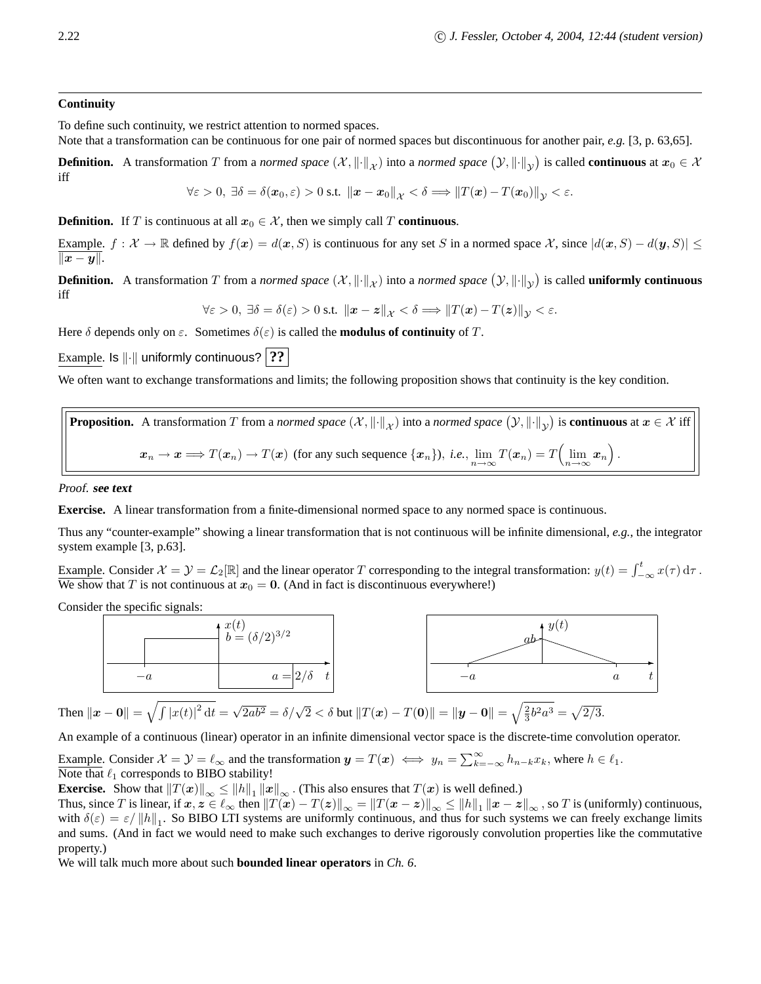# **Continuity**

To define such continuity, we restrict attention to normed spaces.

Note that a transformation can be continuous for one pair of normed spaces but discontinuous for another pair, *e.g.* [3, p. 63,65].

**Definition.** A transformation T from a *normed space*  $(X, \|\cdot\|_X)$  into a *normed space*  $(Y, \|\cdot\|_Y)$  is called **continuous** at  $x_0 \in X$ iff

$$
\forall \varepsilon > 0, \ \exists \delta = \delta(\boldsymbol{x}_0, \varepsilon) > 0 \text{ s.t. } \|\boldsymbol{x} - \boldsymbol{x}_0\|_{\mathcal{X}} < \delta \Longrightarrow \|T(\boldsymbol{x}) - T(\boldsymbol{x}_0)\|_{\mathcal{Y}} < \varepsilon.
$$

# **Definition.** If T is continuous at all  $x_0 \in \mathcal{X}$ , then we simply call T **continuous**.

Example.  $f: \mathcal{X} \to \mathbb{R}$  defined by  $f(x) = d(x, S)$  is continuous for any set S in a normed space X, since  $|d(x, S) - d(y, S)| \le$  $\|x - y\|.$ 

**Definition.** A transformation T from a *normed space*  $(X, \|\cdot\|_X)$  into a *normed space*  $(Y, \|\cdot\|_Y)$  is called **uniformly continuous** iff

$$
\forall \varepsilon > 0, \ \exists \delta = \delta(\varepsilon) > 0 \text{ s.t. } \left\| \boldsymbol{x} - \boldsymbol{z} \right\|_{\mathcal{X}} < \delta \Longrightarrow \left\| T(\boldsymbol{x}) - T(\boldsymbol{z}) \right\|_{\mathcal{Y}} < \varepsilon.
$$

Here  $\delta$  depends only on  $\varepsilon$ . Sometimes  $\delta(\varepsilon)$  is called the **modulus of continuity** of T.

Example. Is  $\Vert \cdot \Vert$  uniformly continuous? **??** 

We often want to exchange transformations and limits; the following proposition shows that continuity is the key condition.

**Proposition.** A transformation T from a *normed space*  $(\mathcal{X}, \|\cdot\|_{\mathcal{X}})$  into a *normed space*  $(\mathcal{Y}, \|\cdot\|_{\mathcal{Y}})$  is **continuous** at  $x \in \mathcal{X}$  iff  $x_n \to x \Longrightarrow T(x_n) \to T(x)$  (for any such sequence  $\{x_n\}$ ), *i.e.*,  $\lim_{n \to \infty} T(x_n) = T\left(\lim_{n \to \infty} x_n\right)$ .

Proof. **see text**

**Exercise.** A linear transformation from a finite-dimensional normed space to any normed space is continuous.

Thus any "counter-example" showing a linear transformation that is not continuous will be infinite dimensional, *e.g.*, the integrator system example [3, p.63].

Example. Consider  $\mathcal{X} = \mathcal{Y} = \mathcal{L}_2[\mathbb{R}]$  and the linear operator T corresponding to the integral transformation:  $y(t) = \int_{-\infty}^t x(\tau) d\tau$ . We show that T is not continuous at  $x_0 = 0$ . (And in fact is discontinuous everywhere!)

Consider the specific signals:



An example of a continuous (linear) operator in an infinite dimensional vector space is the discrete-time convolution operator.

Example. Consider  $\mathcal{X} = \mathcal{Y} = \ell_{\infty}$  and the transformation  $y = T(x) \iff y_n = \sum_{k=-\infty}^{\infty} h_{n-k} x_k$ , where  $h \in \ell_1$ . Note that  $\ell_1$  corresponds to BIBO stability!

**Exercise.** Show that  $||T(x)||_{\infty} \le ||h||_1 ||x||_{\infty}$ . (This also ensures that  $T(x)$  is well defined.)

Thus, since T is linear, if  $x, z \in \ell_{\infty}$  then  $||T(x) - T(z)||_{\infty} = ||T(x - z)||_{\infty} \le ||h||_1 ||x - z||_{\infty}$ , so T is (uniformly) continuous, with  $\delta(\varepsilon) = \varepsilon / ||h||_1$ . So BIBO LTI systems are uniformly continuous, and thus for such systems we can freely exchange limits and sums. (And in fact we would need to make such exchanges to derive rigorously convolution properties like the commutative property.)

We will talk much more about such **bounded linear operators** in *Ch. 6*.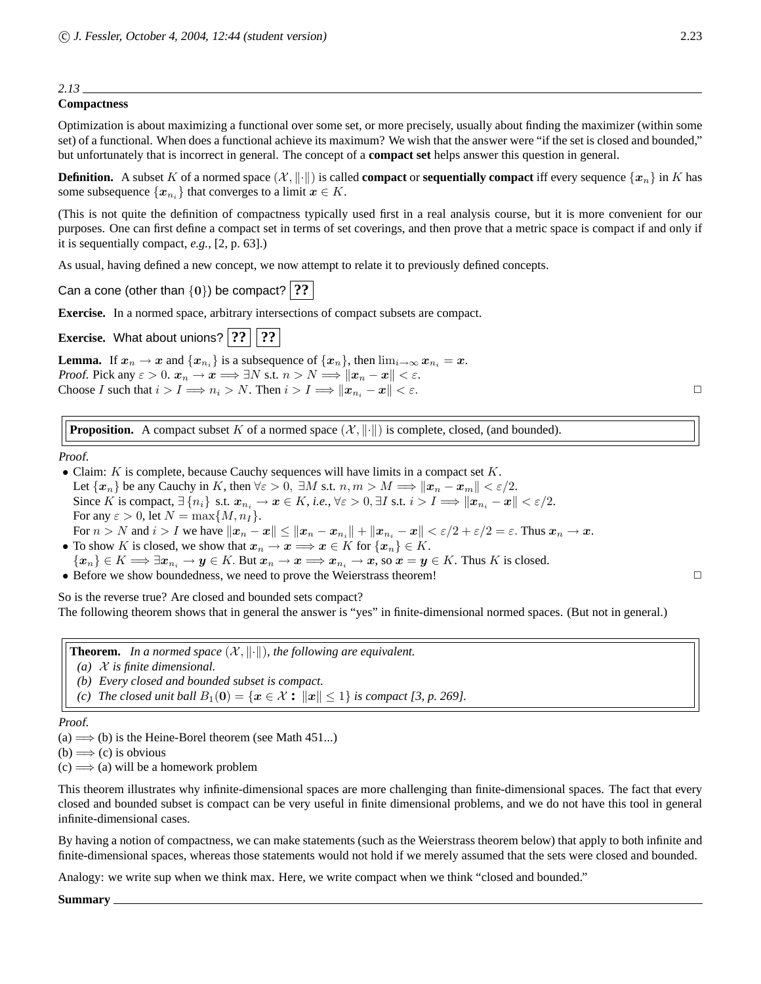# **Compactness**

Optimization is about maximizing a functional over some set, or more precisely, usually about finding the maximizer (within some set) of a functional. When does a functional achieve its maximum? We wish that the answer were "if the set is closed and bounded," but unfortunately that is incorrect in general. The concept of a **compact set** helps answer this question in general.

**Definition.** A subset K of a normed space  $(\mathcal{X}, \|\cdot\|)$  is called **compact** or **sequentially compact** iff every sequence  $\{x_n\}$  in K has some subsequence  $\{x_{n_i}\}\$ that converges to a limit  $x \in K$ .

(This is not quite the definition of compactness typically used first in a real analysis course, but it is more convenient for our purposes. One can first define a compact set in terms of set coverings, and then prove that a metric space is compact if and only if it is sequentially compact, *e.g.*, [2, p. 63].)

As usual, having defined a new concept, we now attempt to relate it to previously defined concepts.

Can a cone (other than  $\{0\}$ ) be compact? **??** 

**Exercise.** In a normed space, arbitrary intersections of compact subsets are compact.

**Exercise.** What about unions?  $|??$  | ??

**Lemma.** If  $x_n \to x$  and  $\{x_{n_i}\}\)$  is a subsequence of  $\{x_n\}$ , then  $\lim_{i \to \infty} x_{n_i} = x$ . *Proof.* Pick any  $\varepsilon > 0$ .  $x_n \to x \Longrightarrow \exists N \text{ s.t. } n > N \Longrightarrow ||x_n - x|| < \varepsilon$ . Choose I such that  $i > I \Longrightarrow n_i > N$ . Then  $i > I \Longrightarrow ||x_{n_i} - x|| < \varepsilon$ .

**Proposition.** A compact subset K of a normed space  $(\mathcal{X}, \|\cdot\|)$  is complete, closed, (and bounded).

# Proof.

• Claim:  $K$  is complete, because Cauchy sequences will have limits in a compact set  $K$ . Let  $\{x_n\}$  be any Cauchy in K, then  $\forall \varepsilon > 0$ ,  $\exists M$  s.t.  $n, m > M \Longrightarrow ||x_n - x_m|| < \varepsilon/2$ . Since K is compact,  $\exists \{n_i\}$  s.t.  $x_{n_i} \to x \in K$ , *i.e.*,  $\forall \varepsilon > 0$ ,  $\exists I$  s.t.  $i > I \Longrightarrow ||x_{n_i} - x|| < \varepsilon/2$ . For any  $\varepsilon > 0$ , let  $N = \max\{M, n_I\}$ . For  $n > N$  and  $i > I$  we have  $||x_n - x|| \le ||x_n - x_{n_i}|| + ||x_{n_i} - x|| < \varepsilon/2 + \varepsilon/2 = \varepsilon$ . Thus  $x_n \to x$ .

- To show K is closed, we show that  $x_n \to x \implies x \in K$  for  $\{x_n\} \in K$ .  ${x_n} \in K \Longrightarrow \exists x_{n_i} \to y \in K$ . But  $x_n \to x \Longrightarrow x_{n_i} \to x$ , so  $x = y \in K$ . Thus K is closed.
- Before we show boundedness, we need to prove the Weierstrass theorem!  $\Box$

So is the reverse true? Are closed and bounded sets compact?

The following theorem shows that in general the answer is "yes" in finite-dimensional normed spaces. (But not in general.)

**Theorem.** In a normed space  $(X, \|\cdot\|)$ , the following are equivalent.

- *(a)* X *is finite dimensional.*
- *(b) Every closed and bounded subset is compact.*
- *(c)* The closed unit ball  $B_1(0) = \{x \in \mathcal{X} : ||x|| \le 1\}$  is compact [3, p. 269].

### Proof.

(a)  $\Longrightarrow$  (b) is the Heine-Borel theorem (see Math 451...)

 $(b) \Longrightarrow (c)$  is obvious

 $(c) \implies$  (a) will be a homework problem

This theorem illustrates why infinite-dimensional spaces are more challenging than finite-dimensional spaces. The fact that every closed and bounded subset is compact can be very useful in finite dimensional problems, and we do not have this tool in general infinite-dimensional cases.

By having a notion of compactness, we can make statements (such as the Weierstrass theorem below) that apply to both infinite and finite-dimensional spaces, whereas those statements would not hold if we merely assumed that the sets were closed and bounded.

Analogy: we write sup when we think max. Here, we write compact when we think "closed and bounded."

**Summary**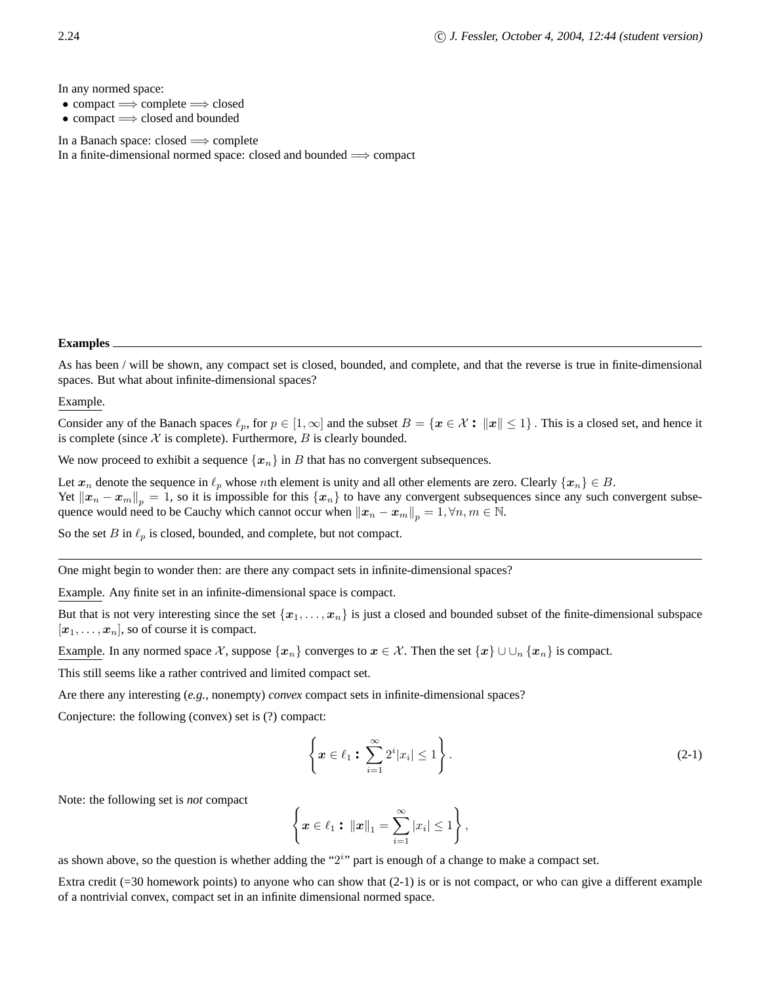In any normed space:

- compact  $\Rightarrow$  complete  $\Rightarrow$  closed
- compact =⇒ closed and bounded

In a Banach space: closed  $\Longrightarrow$  complete

In a finite-dimensional normed space: closed and bounded  $\Longrightarrow$  compact

#### **Examples**

As has been / will be shown, any compact set is closed, bounded, and complete, and that the reverse is true in finite-dimensional spaces. But what about infinite-dimensional spaces?

# Example.

Consider any of the Banach spaces  $\ell_p$ , for  $p \in [1,\infty]$  and the subset  $B = \{x \in \mathcal{X} : ||x|| \leq 1\}$ . This is a closed set, and hence it is complete (since  $X$  is complete). Furthermore,  $B$  is clearly bounded.

We now proceed to exhibit a sequence  $\{x_n\}$  in B that has no convergent subsequences.

Let  $x_n$  denote the sequence in  $\ell_p$  whose nth element is unity and all other elements are zero. Clearly  $\{x_n\} \in B$ . Yet  $||x_n - x_m||_p = 1$ , so it is impossible for this  $\{x_n\}$  to have any convergent subsequences since any such convergent subsequence would need to be Cauchy which cannot occur when  $||x_n - x_m||_p = 1, \forall n, m \in \mathbb{N}$ .

So the set B in  $\ell_p$  is closed, bounded, and complete, but not compact.

One might begin to wonder then: are there any compact sets in infinite-dimensional spaces?

Example. Any finite set in an infinite-dimensional space is compact.

But that is not very interesting since the set  $\{x_1, \ldots, x_n\}$  is just a closed and bounded subset of the finite-dimensional subspace  $[x_1, \ldots, x_n]$ , so of course it is compact.

Example. In any normed space X, suppose  $\{x_n\}$  converges to  $x \in \mathcal{X}$ . Then the set  $\{x\} \cup \cup_{n} \{x_n\}$  is compact.

This still seems like a rather contrived and limited compact set.

Are there any interesting (*e.g.*, nonempty) *convex* compact sets in infinite-dimensional spaces?

Conjecture: the following (convex) set is (?) compact:

$$
\left\{ \boldsymbol{x} \in \ell_1 : \sum_{i=1}^{\infty} 2^i |x_i| \le 1 \right\}.
$$
\n(2-1)

Note: the following set is *not* compact

$$
\left\{ \boldsymbol{x} \in \ell_1 : \, \|\boldsymbol{x}\|_1 = \sum_{i=1}^{\infty} |x_i| \leq 1 \right\},\
$$

as shown above, so the question is whether adding the " $2<sup>i</sup>$ " part is enough of a change to make a compact set.

Extra credit  $(=30$  homework points) to anyone who can show that  $(2-1)$  is or is not compact, or who can give a different example of a nontrivial convex, compact set in an infinite dimensional normed space.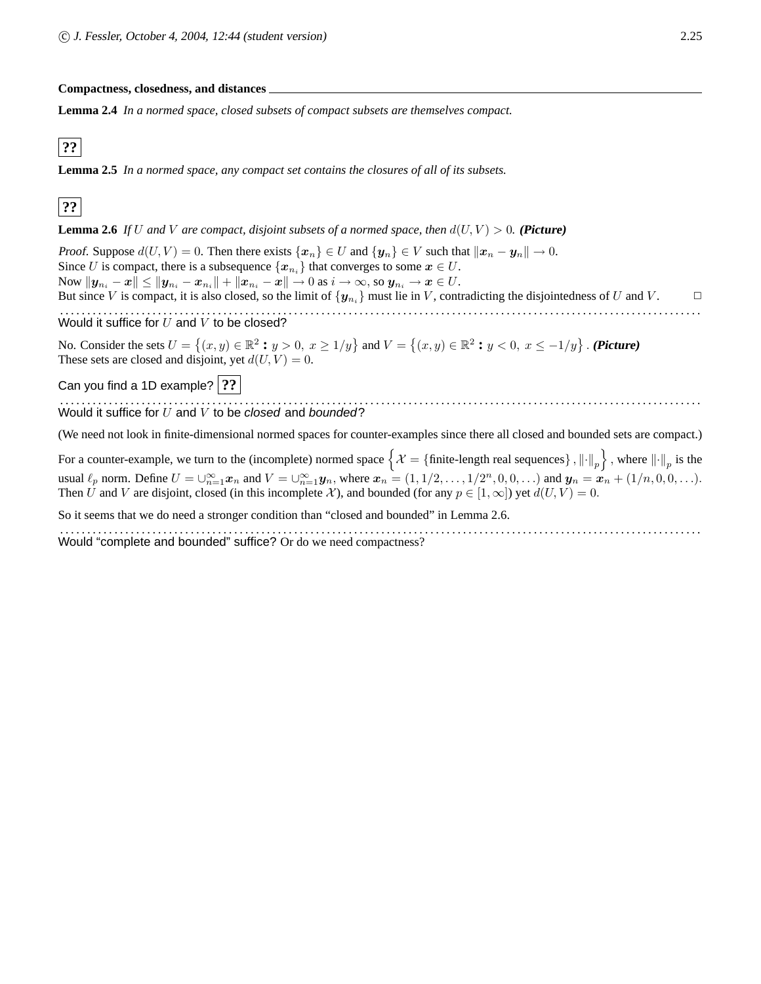**Compactness, closedness, and distances**

**Lemma 2.4** *In a normed space, closed subsets of compact subsets are themselves compact.*

# **??**

**Lemma 2.5** *In a normed space, any compact set contains the closures of all of its subsets.*

# **??**

**Lemma 2.6** *If* U and V are compact, disjoint subsets of a normed space, then  $d(U, V) > 0$ . (Picture)

Proof. Suppose  $d(U, V) = 0$ . Then there exists  $\{x_n\} \in U$  and  $\{y_n\} \in V$  such that  $\|x_n - y_n\| \to 0$ . Since U is compact, there is a subsequence  $\{x_{n_i}\}\$  that converges to some  $x \in U$ . Now  $||\bm{y}_{n_i} - \bm{x}|| \le ||\bm{y}_{n_i} - \bm{x}_{n_i}|| + ||\bm{x}_{n_i} - \bm{x}|| \to 0$  as  $i \to \infty$ , so  $\bm{y}_{n_i} \to \bm{x} \in U$ . But since V is compact, it is also closed, so the limit of  $\{y_{n_i}\}\$ must lie in V, contradicting the disjointedness of U and V. Would it suffice for  $U$  and  $V$  to be closed?

No. Consider the sets  $U = \{(x, y) \in \mathbb{R}^2 : y > 0, x \ge 1/y\}$  and  $V = \{(x, y) \in \mathbb{R}^2 : y < 0, x \le -1/y\}$ . (**Picture**) These sets are closed and disjoint, yet  $d(U, V) = 0$ .

Can you find a 1D example? **??**

Would it suffice for  $U$  and  $V$  to be closed and bounded?

(We need not look in finite-dimensional normed spaces for counter-examples since there all closed and bounded sets are compact.)

For a counter-example, we turn to the (incomplete) normed space  $\left\{ \mathcal{X}=\{\text{finite-length real sequences}\}$  ,  $\left\|\cdot\right\|_p\right\}$  , where  $\left\|\cdot\right\|_p$  is the usual  $\ell_p$  norm. Define  $U = \bigcup_{n=1}^{\infty} x_n$  and  $V = \bigcup_{n=1}^{\infty} y_n$ , where  $x_n = (1, 1/2, \ldots, 1/2^n, 0, 0, \ldots)$  and  $y_n = x_n + (1/n, 0, 0, \ldots)$ . Then U and V are disjoint, closed (in this incomplete X), and bounded (for any  $p \in [1,\infty]$ ) yet  $d(U, V) = 0$ .

So it seems that we do need a stronger condition than "closed and bounded" in Lemma 2.6.

Would "complete and bounded" suffice? Or do we need compactness?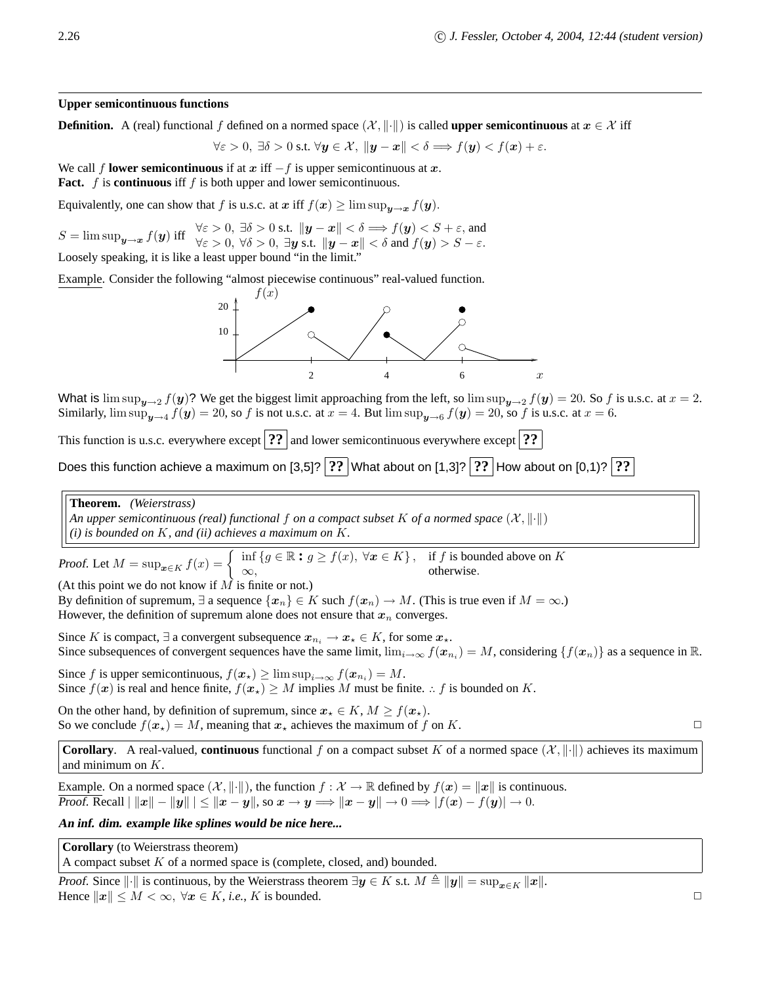# **Upper semicontinuous functions**

**Definition.** A (real) functional f defined on a normed space  $(\mathcal{X}, \|\cdot\|)$  is called **upper semicontinuous** at  $x \in \mathcal{X}$  iff

$$
\forall \varepsilon > 0, \ \exists \delta > 0 \text{ s.t. } \forall \mathbf{y} \in \mathcal{X}, \ \|\mathbf{y} - \mathbf{x}\| < \delta \Longrightarrow f(\mathbf{y}) < f(\mathbf{x}) + \varepsilon.
$$

We call f **lower semicontinuous** if at x iff  $-f$  is upper semicontinuous at x. **Fact.**  $f$  is **continuous** iff  $f$  is both upper and lower semicontinuous.

Equivalently, one can show that f is u.s.c. at x iff  $f(x) \ge \limsup_{u \to x} f(y)$ .

 $S = \limsup_{\mathbf{y} \to \mathbf{x}} f(\mathbf{y})$  iff  $\forall \varepsilon > 0, \exists \delta > 0$  s.t.  $\|\mathbf{y} - \mathbf{x}\| < \delta \implies f(\mathbf{y}) < S + \varepsilon$ , and  $f(\mathbf{y}) > S - \varepsilon$ . Loosely speaking, it is like a least upper bound "in the limit."

Example. Consider the following "almost piecewise continuous" real-valued function.



What is  $\limsup_{y\to 2} f(y)$ ? We get the biggest limit approaching from the left, so  $\limsup_{y\to 2} f(y) = 20$ . So f is u.s.c. at  $x = 2$ . Similarly,  $\limsup_{y\to 4} f(y) = 20$ , so f is not u.s.c. at  $x = 4$ . But  $\limsup_{y\to 6} f(y) = 20$ , so f is u.s.c. at  $x = 6$ .

This function is u.s.c. everywhere except **??** and lower semicontinuous everywhere except **??** 

Does this function achieve a maximum on  $[3,5]$ ?  $|?$ ? What about on  $[1,3]$ ?  $|?$ ? How about on  $[0,1)$ ?  $|?$ ?

**Theorem.** *(Weierstrass)*

*An upper semicontinuous (real) functional f on a compact subset K of a normed space*  $(\mathcal{X}, \|\cdot\|)$ *(i) is bounded on* K*, and (ii) achieves a maximum on* K*.*

Proof. Let  $M = \sup_{\mathbf{x} \in K} f(x) = \begin{cases} \inf \{ g \in \mathbb{R} : g \ge f(x), \forall \mathbf{x} \in K \}, & \text{if } f \text{ is bounded above on } K \\ \infty. & \text{otherwise.} \end{cases}$  $\infty$ , otherwise.

(At this point we do not know if  $\overrightarrow{M}$  is finite or not.) By definition of supremum,  $\exists$  a sequence  $\{x_n\} \in K$  such  $f(x_n) \to M$ . (This is true even if  $M = \infty$ .)

However, the definition of supremum alone does not ensure that  $x_n$  converges.

Since K is compact,  $\exists$  a convergent subsequence  $x_{n_i} \to x_* \in K$ , for some  $x_*$ . Since subsequences of convergent sequences have the same limit,  $\lim_{i\to\infty} f(x_{n_i}) = M$ , considering  $\{f(x_n)\}$  as a sequence in R.

Since f is upper semicontinuous,  $f(\mathbf{x}_\star) \geq \limsup_{i \to \infty} f(\mathbf{x}_{n_i}) = M$ . Since  $f(x)$  is real and hence finite,  $f(x_{\star}) \geq M$  implies M must be finite. .. f is bounded on K.

On the other hand, by definition of supremum, since  $x_{\star} \in K$ ,  $M \ge f(x_{\star})$ . So we conclude  $f(x_{\star}) = M$ , meaning that  $x_{\star}$  achieves the maximum of f on K.

**Corollary.** A real-valued, **continuous** functional f on a compact subset K of a normed space  $(\mathcal{X}, \|\cdot\|)$  achieves its maximum and minimum on K.

Example. On a normed space  $(\mathcal{X}, \|\cdot\|)$ , the function  $f : \mathcal{X} \to \mathbb{R}$  defined by  $f(x) = \|x\|$  is continuous. Proof. Recall  $||x|| - ||y|| \le ||x - y||$ , so  $x \to y \Longrightarrow ||x - y|| \to 0 \Longrightarrow |f(x) - f(y)| \to 0$ .

# **An inf. dim. example like splines would be nice here...**

**Corollary** (to Weierstrass theorem)

A compact subset  $K$  of a normed space is (complete, closed, and) bounded.

Proof. Since  $\|\cdot\|$  is continuous, by the Weierstrass theorem  $\exists y \in K$  s.t.  $M \triangleq \|y\| = \sup_{x \in K} \|x\|$ . Hence  $||x|| \leq M < \infty$ ,  $\forall x \in K$ , *i.e.*, K is bounded.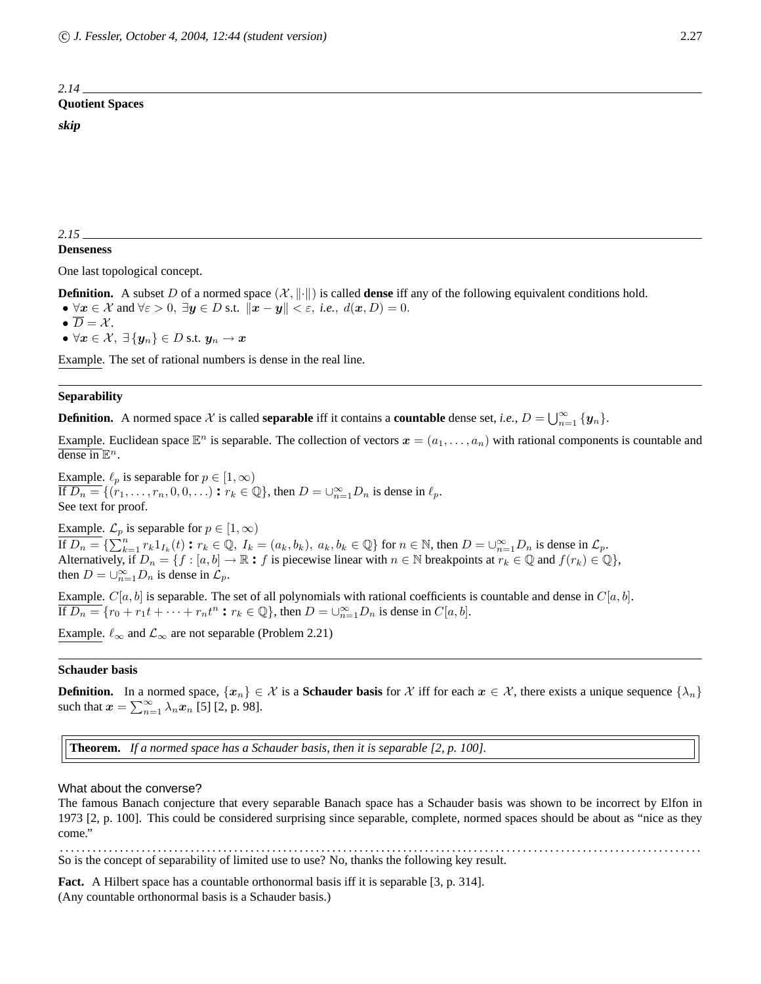# *2.14* **Quotient Spaces skip**

# **Denseness**

One last topological concept.

**Definition.** A subset D of a normed space  $(\mathcal{X}, \|\cdot\|)$  is called **dense** iff any of the following equivalent conditions hold.

- $\forall x \in \mathcal{X}$  and  $\forall \varepsilon > 0$ ,  $\exists y \in D$  s.t.  $\|\boldsymbol{x} \boldsymbol{y}\| < \varepsilon$ , *i.e.*,  $d(\boldsymbol{x}, D) = 0$ .
- $\bullet \ \overline{D} = \mathcal{X}.$
- $\forall x \in \mathcal{X}, \exists \{y_n\} \in D \text{ s.t. } y_n \rightarrow x$

Example. The set of rational numbers is dense in the real line.

# **Separability**

**Definition.** A normed space X is called **separable** iff it contains a **countable** dense set, *i.e.*,  $D = \bigcup_{n=1}^{\infty} \{y_n\}$ .

Example. Euclidean space  $\mathbb{E}^n$  is separable. The collection of vectors  $\bm{x}=(a_1,\ldots,a_n)$  with rational components is countable and dense in  $\mathbb{E}^n$ .

Example.  $\ell_p$  is separable for  $p \in [1,\infty)$  $\overline{\text{If } D_n} = \{(r_1, \ldots, r_n, 0, 0, \ldots) : r_k \in \mathbb{Q}\},\$  then  $D = \bigcup_{n=1}^{\infty} D_n$  is dense in  $\ell_p$ . See text for proof.

Example.  $\mathcal{L}_p$  is separable for  $p \in [1,\infty)$ If  $D_n = \{ \sum_{k=1}^n r_k 1_{I_k}(t) : r_k \in \mathbb{Q}, I_k = (a_k, b_k), a_k, b_k \in \mathbb{Q} \}$  for  $n \in \mathbb{N}$ , then  $D = \bigcup_{n=1}^{\infty} D_n$  is dense in  $\mathcal{L}_p$ . Alternatively, if  $D_n = \{f : [a, b] \to \mathbb{R} : f \text{ is piecewise linear with } n \in \mathbb{N} \text{ breaths at } r_k \in \mathbb{Q} \text{ and } f(r_k) \in \mathbb{Q} \},$ then  $D = \bigcup_{n=1}^{\infty} D_n$  is dense in  $\mathcal{L}_p$ .

Example.  $C[a, b]$  is separable. The set of all polynomials with rational coefficients is countable and dense in  $C[a, b]$ . If  $D_n = \{r_0 + r_1t + \cdots + r_nt^n : r_k \in \mathbb{Q}\}$ , then  $D = \bigcup_{n=1}^{\infty} D_n$  is dense in  $C[a, b]$ .

Example.  $\ell_{\infty}$  and  $\mathcal{L}_{\infty}$  are not separable (Problem 2.21)

# **Schauder basis**

**Definition.** In a normed space,  $\{x_n\} \in \mathcal{X}$  is a **Schauder basis** for  $\mathcal{X}$  iff for each  $x \in \mathcal{X}$ , there exists a unique sequence  $\{\lambda_n\}$ such that  $\mathbf{x} = \sum_{n=1}^{\infty} \lambda_n \mathbf{x}_n$  [5] [2, p. 98].

**Theorem.** *If a normed space has a Schauder basis, then it is separable [2, p. 100].*

#### What about the converse?

The famous Banach conjecture that every separable Banach space has a Schauder basis was shown to be incorrect by Elfon in 1973 [2, p. 100]. This could be considered surprising since separable, complete, normed spaces should be about as "nice as they come.'

. . . . . . . . . . . . . . . . . . . . . . . . . . . . . . . . . . . . . . . . . . . . . . . . . . . . . . . . . . . . . . . . . . . . . . . . . . . . . . . . . . . . . . . . . . . . . . . . . . . . . . . . . . . . . . . . . . . . . . So is the concept of separability of limited use to use? No, thanks the following key result.

Fact. A Hilbert space has a countable orthonormal basis iff it is separable [3, p. 314]. (Any countable orthonormal basis is a Schauder basis.)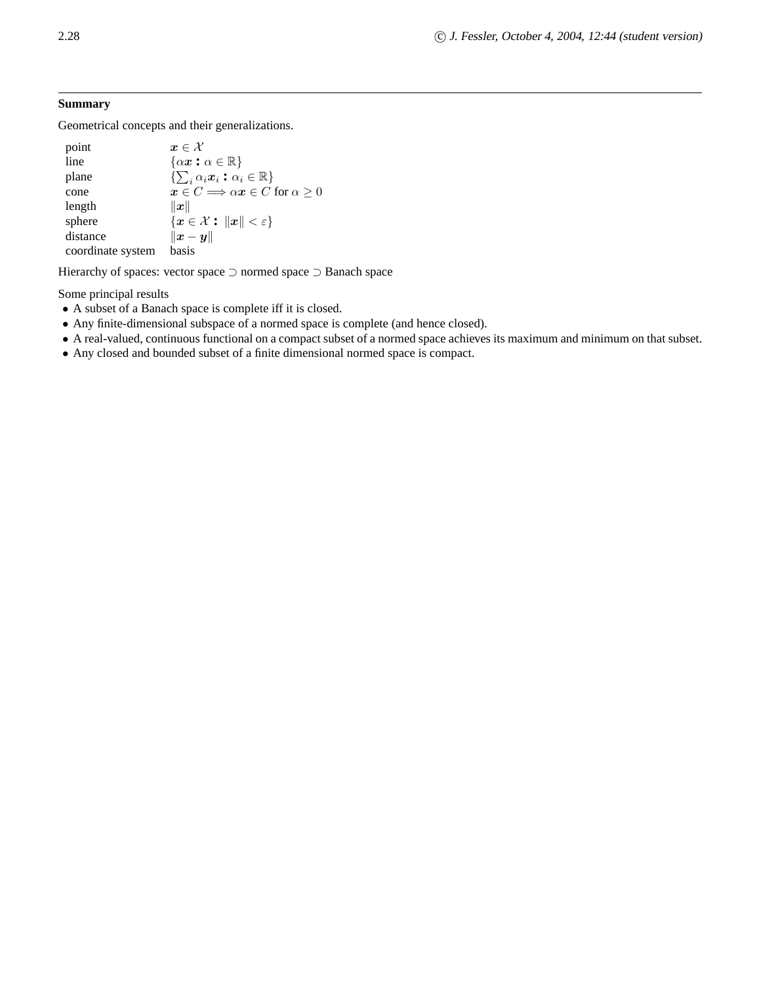# **Summary**

Geometrical concepts and their generalizations.

| point             | $\boldsymbol{x}\in\mathcal{X}$                                    |
|-------------------|-------------------------------------------------------------------|
| line              | $\{\alpha x : \alpha \in \mathbb{R}\}\$                           |
| plane             | $\{\sum_i \alpha_i \boldsymbol{x}_i : \alpha_i \in \mathbb{R}\}\$ |
| cone              | $x \in C \Longrightarrow \alpha x \in C$ for $\alpha > 0$         |
| length            | $\ \boldsymbol{x}\ $                                              |
| sphere            | ${x \in \mathcal{X}:   x   < \varepsilon}$                        |
| distance          | $\ x-y\ $                                                         |
| coordinate system | basis                                                             |

Hierarchy of spaces: vector space ⊃ normed space ⊃ Banach space

Some principal results

- A subset of a Banach space is complete iff it is closed.
- Any finite-dimensional subspace of a normed space is complete (and hence closed).
- A real-valued, continuous functional on a compact subset of a normed space achieves its maximum and minimum on that subset.
- Any closed and bounded subset of a finite dimensional normed space is compact.